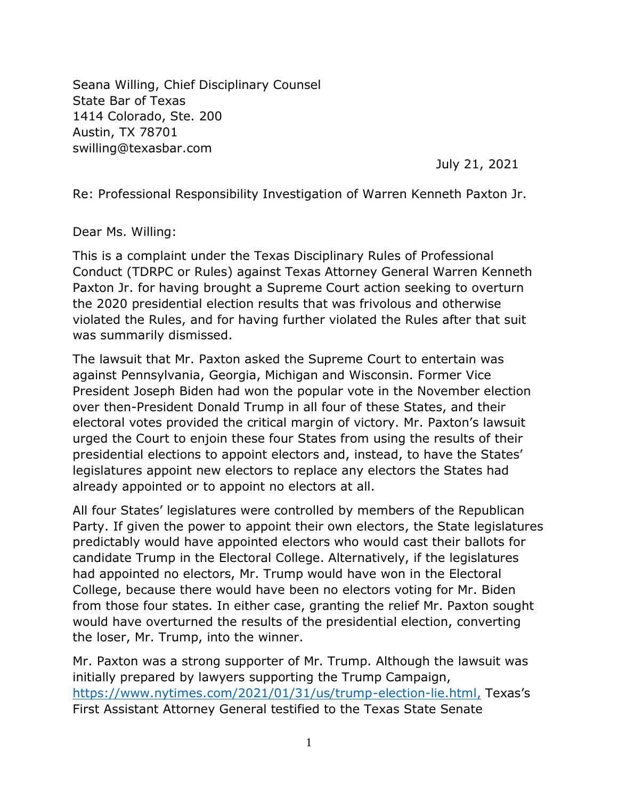Seana Willing, Chief Disciplinary Counsel State Bar of Texas 1414 Colorado, Ste. 200 Austin, TX 78701 swilling@texasbar.com

July 21, 2021

Re: Professional Responsibility Investigation of Warren Kenneth Paxton Jr.

Dear Ms. Willing:

This is a complaint under the Texas Disciplinary Rules of Professional Conduct (TDRPC or Rules) against Texas Attorney General Warren Kenneth Paxton Jr. for having brought a Supreme Court action seeking to overturn the 2020 presidential election results that was frivolous and otherwise violated the Rules, and for having further violated the Rules after that suit was summarily dismissed.

The lawsuit that Mr. Paxton asked the Supreme Court to entertain was against Pennsylvania, Georgia, Michigan and Wisconsin. Former Vice President Joseph Biden had won the popular vote in the November election over then-President Donald Trump in all four of these States, and their electoral votes provided the critical margin of victory. Mr. Paxton's lawsuit urged the Court to enjoin these four States from using the results of their presidential elections to appoint electors and, instead, to have the States' legislatures appoint new electors to replace any electors the States had already appointed or to appoint no electors at all.

All four States' legislatures were controlled by members of the Republican Party. If given the power to appoint their own electors, the State legislatures predictably would have appointed electors who would cast their ballots for candidate Trump in the Electoral College. Alternatively, if the legislatures had appointed no electors, Mr. Trump would have won in the Electoral College, because there would have been no electors voting for Mr. Biden from those four states. In either case, granting the relief Mr. Paxton sought would have overturned the results of the presidential election, converting the loser, Mr. Trump, into the winner.

Mr. Paxton was a strong supporter of Mr. Trump. Although the lawsuit was initially prepared by lawyers supporting the Trump Campaign, [https://www.nytimes.com/2021/01/31/us/trump-election-lie.html,](https://www.nytimes.com/2021/01/31/us/trump-election-lie.html) Texas's First Assistant Attorney General testified to the Texas State Senate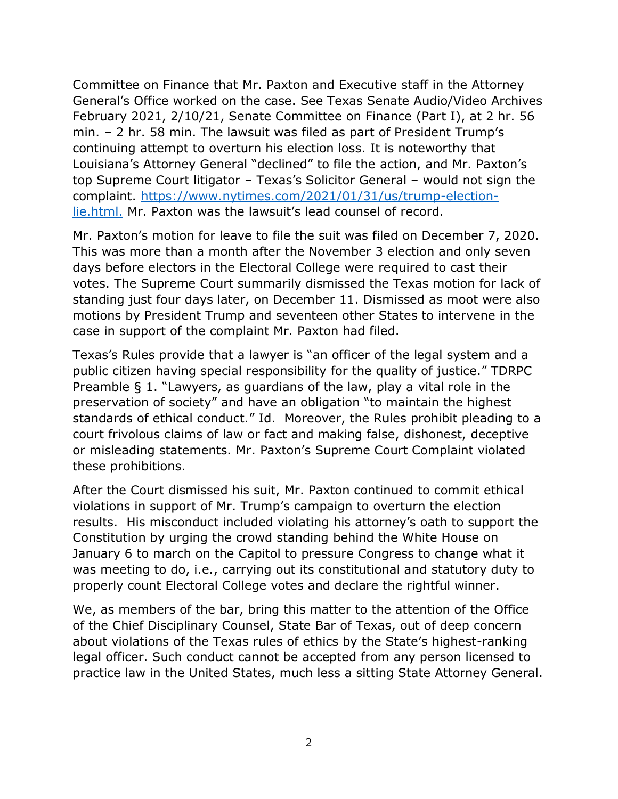Committee on Finance that Mr. Paxton and Executive staff in the Attorney General's Office worked on the case. See Texas Senate Audio/Video Archives February 2021, 2/10/21, Senate Committee on Finance (Part I), at 2 hr. 56 min. – 2 hr. 58 min. The lawsuit was filed as part of President Trump's continuing attempt to overturn his election loss. It is noteworthy that Louisiana's Attorney General "declined" to file the action, and Mr. Paxton's top Supreme Court litigator – Texas's Solicitor General – would not sign the complaint. [https://www.nytimes.com/2021/01/31/us/trump-election](https://www.nytimes.com/2021/01/31/us/trump-election-lie.html)[lie.html.](https://www.nytimes.com/2021/01/31/us/trump-election-lie.html) Mr. Paxton was the lawsuit's lead counsel of record.

Mr. Paxton's motion for leave to file the suit was filed on December 7, 2020. This was more than a month after the November 3 election and only seven days before electors in the Electoral College were required to cast their votes. The Supreme Court summarily dismissed the Texas motion for lack of standing just four days later, on December 11. Dismissed as moot were also motions by President Trump and seventeen other States to intervene in the case in support of the complaint Mr. Paxton had filed.

Texas's Rules provide that a lawyer is "an officer of the legal system and a public citizen having special responsibility for the quality of justice." TDRPC Preamble § 1. "Lawyers, as guardians of the law, play a vital role in the preservation of society" and have an obligation "to maintain the highest standards of ethical conduct." Id. Moreover, the Rules prohibit pleading to a court frivolous claims of law or fact and making false, dishonest, deceptive or misleading statements. Mr. Paxton's Supreme Court Complaint violated these prohibitions.

After the Court dismissed his suit, Mr. Paxton continued to commit ethical violations in support of Mr. Trump's campaign to overturn the election results. His misconduct included violating his attorney's oath to support the Constitution by urging the crowd standing behind the White House on January 6 to march on the Capitol to pressure Congress to change what it was meeting to do, i.e., carrying out its constitutional and statutory duty to properly count Electoral College votes and declare the rightful winner.

We, as members of the bar, bring this matter to the attention of the Office of the Chief Disciplinary Counsel, State Bar of Texas, out of deep concern about violations of the Texas rules of ethics by the State's highest-ranking legal officer. Such conduct cannot be accepted from any person licensed to practice law in the United States, much less a sitting State Attorney General.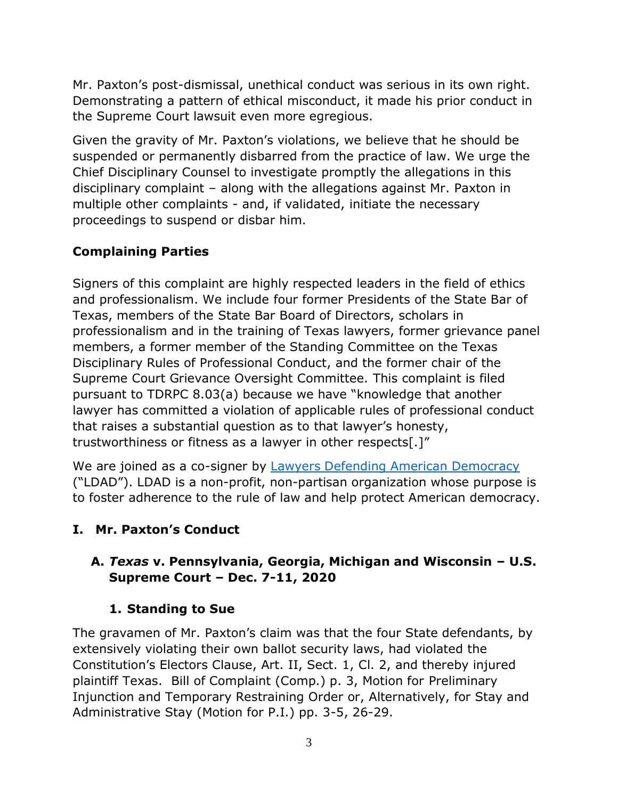Mr. Paxton's post-dismissal, unethical conduct was serious in its own right. Demonstrating a pattern of ethical misconduct, it made his prior conduct in the Supreme Court lawsuit even more egregious.

Given the gravity of Mr. Paxton's violations, we believe that he should be suspended or permanently disbarred from the practice of law. We urge the Chief Disciplinary Counsel to investigate promptly the allegations in this disciplinary complaint – along with the allegations against Mr. Paxton in multiple other complaints - and, if validated, initiate the necessary proceedings to suspend or disbar him.

# **Complaining Parties**

Signers of this complaint are highly respected leaders in the field of ethics and professionalism. We include four former Presidents of the State Bar of Texas, members of the State Bar Board of Directors, scholars in professionalism and in the training of Texas lawyers, former grievance panel members, a former member of the Standing Committee on the Texas Disciplinary Rules of Professional Conduct, and the former chair of the Supreme Court Grievance Oversight Committee. This complaint is filed pursuant to TDRPC 8.03(a) because we have "knowledge that another lawyer has committed a violation of applicable rules of professional conduct that raises a substantial question as to that lawyer's honesty, trustworthiness or fitness as a lawyer in other respects[.]"

We are joined as a co-signer by [Lawyers Defending American Democracy](http://www.ldad.org/) ("LDAD"). LDAD is a non-profit, non-partisan organization whose purpose is to foster adherence to the rule of law and help protect American democracy.

# **I. Mr. Paxton's Conduct**

# **A.** *Texas* **v. Pennsylvania, Georgia, Michigan and Wisconsin – U.S. Supreme Court – Dec. 7-11, 2020**

# **1. Standing to Sue**

The gravamen of Mr. Paxton's claim was that the four State defendants, by extensively violating their own ballot security laws, had violated the Constitution's Electors Clause, Art. II, Sect. 1, Cl. 2, and thereby injured plaintiff Texas. Bill of Complaint (Comp.) p. 3, Motion for Preliminary Injunction and Temporary Restraining Order or, Alternatively, for Stay and Administrative Stay (Motion for P.I.) pp. 3-5, 26-29.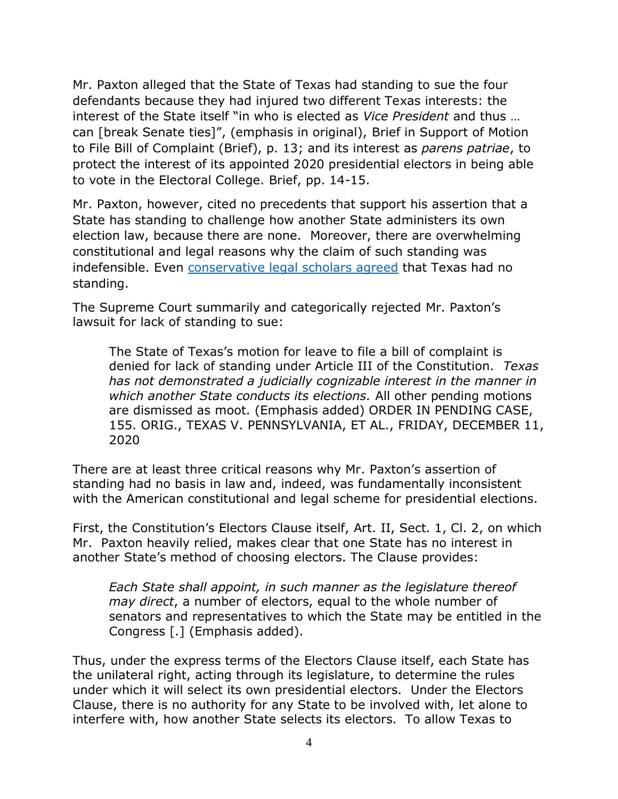Mr. Paxton alleged that the State of Texas had standing to sue the four defendants because they had injured two different Texas interests: the interest of the State itself "in who is elected as *Vice President* and thus … can [break Senate ties]", (emphasis in original), Brief in Support of Motion to File Bill of Complaint (Brief), p. 13; and its interest as *parens patriae*, to protect the interest of its appointed 2020 presidential electors in being able to vote in the Electoral College. Brief, pp. 14-15.

Mr. Paxton, however, cited no precedents that support his assertion that a State has standing to challenge how another State administers its own election law, because there are none. Moreover, there are overwhelming constitutional and legal reasons why the claim of such standing was indefensible. Even [conservative legal scholars agreed](https://reason.com/2020/12/10/conservative-lawmakers-and-legal-scholars-denounce-texas-election-suit-as-a-mockery-of-federalism-and-separation-of-powers-) that Texas had no standing.

The Supreme Court summarily and categorically rejected Mr. Paxton's lawsuit for lack of standing to sue:

The State of Texas's motion for leave to file a bill of complaint is denied for lack of standing under Article III of the Constitution. *Texas has not demonstrated a judicially cognizable interest in the manner in which another State conducts its elections.* All other pending motions are dismissed as moot. (Emphasis added) ORDER IN PENDING CASE, 155. ORIG., TEXAS V. PENNSYLVANIA, ET AL., FRIDAY, DECEMBER 11, 2020

There are at least three critical reasons why Mr. Paxton's assertion of standing had no basis in law and, indeed, was fundamentally inconsistent with the American constitutional and legal scheme for presidential elections.

First, the Constitution's Electors Clause itself, Art. II, Sect. 1, Cl. 2, on which Mr. Paxton heavily relied, makes clear that one State has no interest in another State's method of choosing electors. The Clause provides:

*Each State shall appoint, in such manner as the legislature thereof may direct*, a number of electors, equal to the whole number of senators and representatives to which the State may be entitled in the Congress [.] (Emphasis added).

Thus, under the express terms of the Electors Clause itself, each State has the unilateral right, acting through its legislature, to determine the rules under which it will select its own presidential electors. Under the Electors Clause, there is no authority for any State to be involved with, let alone to interfere with, how another State selects its electors. To allow Texas to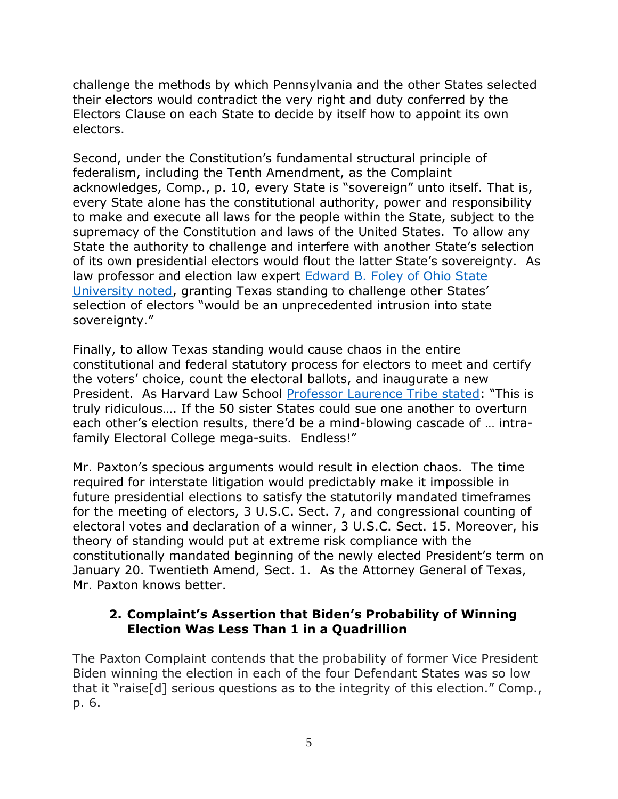challenge the methods by which Pennsylvania and the other States selected their electors would contradict the very right and duty conferred by the Electors Clause on each State to decide by itself how to appoint its own electors.

Second, under the Constitution's fundamental structural principle of federalism, including the Tenth Amendment, as the Complaint acknowledges, Comp., p. 10, every State is "sovereign" unto itself. That is, every State alone has the constitutional authority, power and responsibility to make and execute all laws for the people within the State, subject to the supremacy of the Constitution and laws of the United States. To allow any State the authority to challenge and interfere with another State's selection of its own presidential electors would flout the latter State's sovereignty. As law professor and election law expert [Edward B. Foley of Ohio State](https://www.nytimes.com/2020/12/10/technology/texas-election-lawsuit-legality-html)  [University noted](https://www.nytimes.com/2020/12/10/technology/texas-election-lawsuit-legality-html), granting Texas standing to challenge other States' selection of electors "would be an unprecedented intrusion into state sovereignty."

Finally, to allow Texas standing would cause chaos in the entire constitutional and federal statutory process for electors to meet and certify the voters' choice, count the electoral ballots, and inaugurate a new President. As Harvard Law School [Professor Laurence Tribe stated](https://www.newsweek.com/supreme-court-texas-election-lawsuit-1553409): "This is truly ridiculous…. If the 50 sister States could sue one another to overturn each other's election results, there'd be a mind-blowing cascade of … intrafamily Electoral College mega-suits. Endless!"

Mr. Paxton's specious arguments would result in election chaos. The time required for interstate litigation would predictably make it impossible in future presidential elections to satisfy the statutorily mandated timeframes for the meeting of electors, 3 U.S.C. Sect. 7, and congressional counting of electoral votes and declaration of a winner, 3 U.S.C. Sect. 15. Moreover, his theory of standing would put at extreme risk compliance with the constitutionally mandated beginning of the newly elected President's term on January 20. Twentieth Amend, Sect. 1. As the Attorney General of Texas, Mr. Paxton knows better.

#### **2. Complaint's Assertion that Biden's Probability of Winning Election Was Less Than 1 in a Quadrillion**

The Paxton Complaint contends that the probability of former Vice President Biden winning the election in each of the four Defendant States was so low that it "raise[d] serious questions as to the integrity of this election." Comp., p. 6.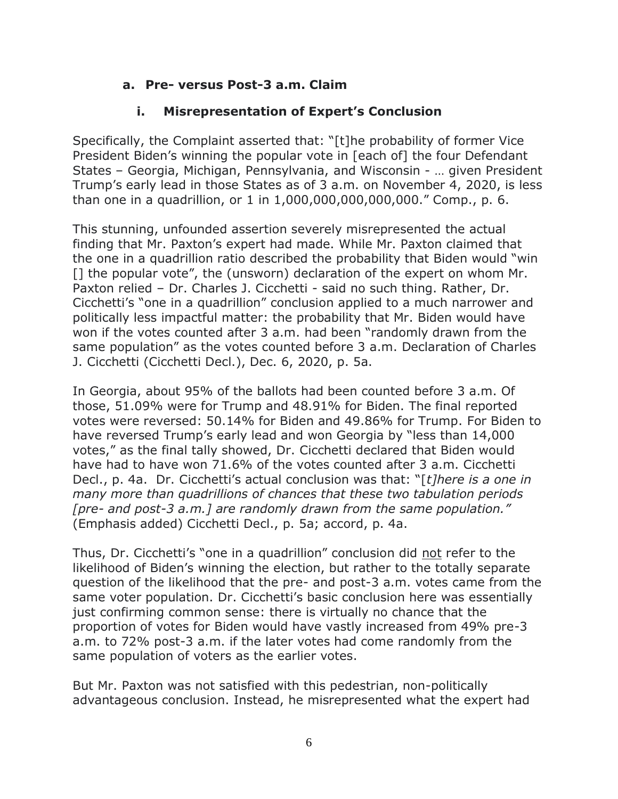# **a. Pre- versus Post-3 a.m. Claim**

# **i. Misrepresentation of Expert's Conclusion**

Specifically, the Complaint asserted that: "[t]he probability of former Vice President Biden's winning the popular vote in [each of] the four Defendant States – Georgia, Michigan, Pennsylvania, and Wisconsin - … given President Trump's early lead in those States as of 3 a.m. on November 4, 2020, is less than one in a quadrillion, or 1 in 1,000,000,000,000,000." Comp., p. 6.

This stunning, unfounded assertion severely misrepresented the actual finding that Mr. Paxton's expert had made. While Mr. Paxton claimed that the one in a quadrillion ratio described the probability that Biden would "win [1] the popular vote", the (unsworn) declaration of the expert on whom Mr. Paxton relied – Dr. Charles J. Cicchetti - said no such thing. Rather, Dr. Cicchetti's "one in a quadrillion" conclusion applied to a much narrower and politically less impactful matter: the probability that Mr. Biden would have won if the votes counted after 3 a.m. had been "randomly drawn from the same population" as the votes counted before 3 a.m. Declaration of Charles J. Cicchetti (Cicchetti Decl.), Dec. 6, 2020, p. 5a.

In Georgia, about 95% of the ballots had been counted before 3 a.m. Of those, 51.09% were for Trump and 48.91% for Biden. The final reported votes were reversed: 50.14% for Biden and 49.86% for Trump. For Biden to have reversed Trump's early lead and won Georgia by "less than 14,000 votes," as the final tally showed, Dr. Cicchetti declared that Biden would have had to have won 71.6% of the votes counted after 3 a.m. Cicchetti Decl., p. 4a. Dr. Cicchetti's actual conclusion was that: "[*t]here is a one in many more than quadrillions of chances that these two tabulation periods [pre- and post-3 a.m.] are randomly drawn from the same population."* (Emphasis added) Cicchetti Decl., p. 5a; accord, p. 4a.

Thus, Dr. Cicchetti's "one in a quadrillion" conclusion did not refer to the likelihood of Biden's winning the election, but rather to the totally separate question of the likelihood that the pre- and post-3 a.m. votes came from the same voter population. Dr. Cicchetti's basic conclusion here was essentially just confirming common sense: there is virtually no chance that the proportion of votes for Biden would have vastly increased from 49% pre-3 a.m. to 72% post-3 a.m. if the later votes had come randomly from the same population of voters as the earlier votes.

But Mr. Paxton was not satisfied with this pedestrian, non-politically advantageous conclusion. Instead, he misrepresented what the expert had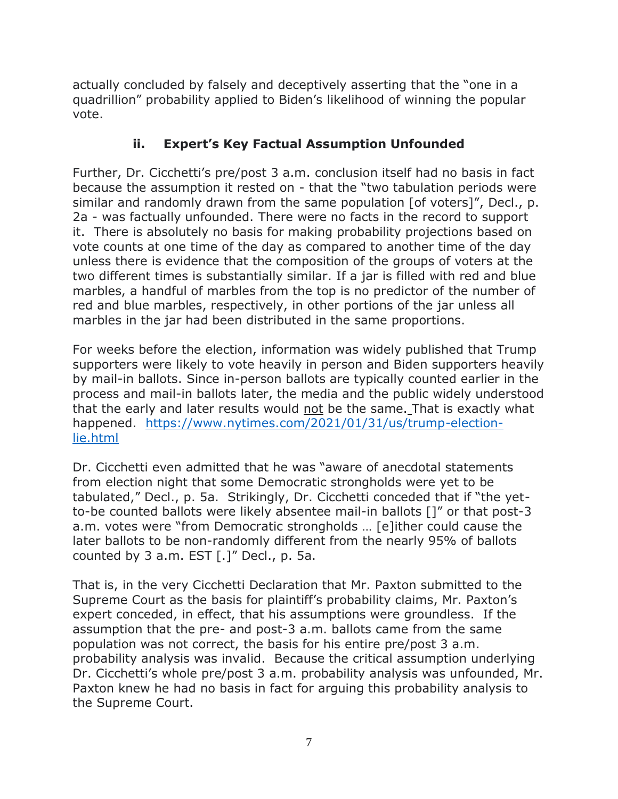actually concluded by falsely and deceptively asserting that the "one in a quadrillion" probability applied to Biden's likelihood of winning the popular vote.

# **ii. Expert's Key Factual Assumption Unfounded**

Further, Dr. Cicchetti's pre/post 3 a.m. conclusion itself had no basis in fact because the assumption it rested on - that the "two tabulation periods were similar and randomly drawn from the same population [of voters]", Decl., p. 2a - was factually unfounded. There were no facts in the record to support it. There is absolutely no basis for making probability projections based on vote counts at one time of the day as compared to another time of the day unless there is evidence that the composition of the groups of voters at the two different times is substantially similar. If a jar is filled with red and blue marbles, a handful of marbles from the top is no predictor of the number of red and blue marbles, respectively, in other portions of the jar unless all marbles in the jar had been distributed in the same proportions.

For weeks before the election, information was widely published that Trump supporters were likely to vote heavily in person and Biden supporters heavily by mail-in ballots. Since in-person ballots are typically counted earlier in the process and mail-in ballots later, the media and the public widely understood that the early and later results would not be the same. That is exactly what happened. [https://www.nytimes.com/2021/01/31/us/trump-election](https://www.nytimes.com/2021/01/31/us/trump-election-lie.html)[lie.html](https://www.nytimes.com/2021/01/31/us/trump-election-lie.html)

Dr. Cicchetti even admitted that he was "aware of anecdotal statements from election night that some Democratic strongholds were yet to be tabulated," Decl., p. 5a. Strikingly, Dr. Cicchetti conceded that if "the yetto-be counted ballots were likely absentee mail-in ballots []" or that post-3 a.m. votes were "from Democratic strongholds … [e]ither could cause the later ballots to be non-randomly different from the nearly 95% of ballots counted by 3 a.m. EST  $[.]''$  Decl., p. 5a.

That is, in the very Cicchetti Declaration that Mr. Paxton submitted to the Supreme Court as the basis for plaintiff's probability claims, Mr. Paxton's expert conceded, in effect, that his assumptions were groundless. If the assumption that the pre- and post-3 a.m. ballots came from the same population was not correct, the basis for his entire pre/post 3 a.m. probability analysis was invalid. Because the critical assumption underlying Dr. Cicchetti's whole pre/post 3 a.m. probability analysis was unfounded, Mr. Paxton knew he had no basis in fact for arguing this probability analysis to the Supreme Court.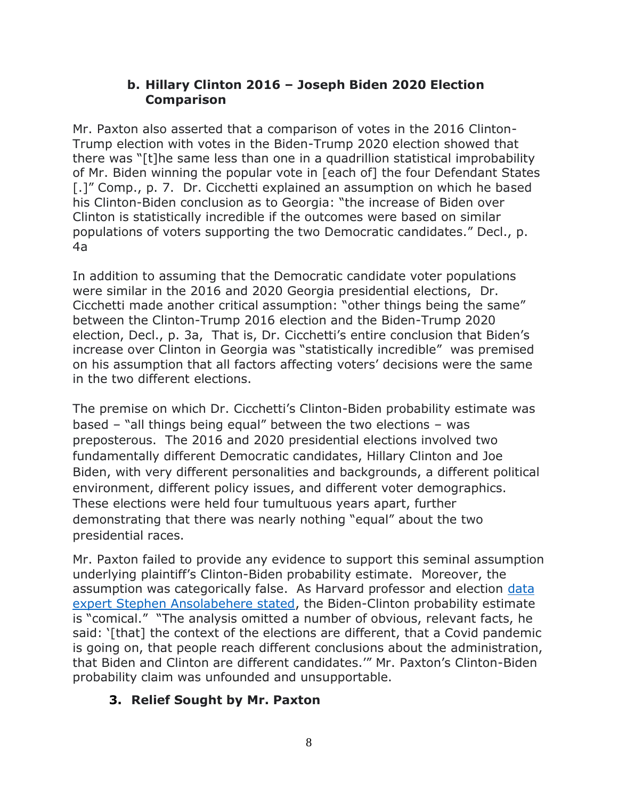#### **b. Hillary Clinton 2016 – Joseph Biden 2020 Election Comparison**

Mr. Paxton also asserted that a comparison of votes in the 2016 Clinton-Trump election with votes in the Biden-Trump 2020 election showed that there was "[t]he same less than one in a quadrillion statistical improbability of Mr. Biden winning the popular vote in [each of] the four Defendant States [.]" Comp., p. 7. Dr. Cicchetti explained an assumption on which he based his Clinton-Biden conclusion as to Georgia: "the increase of Biden over Clinton is statistically incredible if the outcomes were based on similar populations of voters supporting the two Democratic candidates." Decl., p. 4a

In addition to assuming that the Democratic candidate voter populations were similar in the 2016 and 2020 Georgia presidential elections, Dr. Cicchetti made another critical assumption: "other things being the same" between the Clinton-Trump 2016 election and the Biden-Trump 2020 election, Decl., p. 3a, That is, Dr. Cicchetti's entire conclusion that Biden's increase over Clinton in Georgia was "statistically incredible" was premised on his assumption that all factors affecting voters' decisions were the same in the two different elections.

The premise on which Dr. Cicchetti's Clinton-Biden probability estimate was based – "all things being equal" between the two elections – was preposterous. The 2016 and 2020 presidential elections involved two fundamentally different Democratic candidates, Hillary Clinton and Joe Biden, with very different personalities and backgrounds, a different political environment, different policy issues, and different voter demographics. These elections were held four tumultuous years apart, further demonstrating that there was nearly nothing "equal" about the two presidential races.

Mr. Paxton failed to provide any evidence to support this seminal assumption underlying plaintiff's Clinton-Biden probability estimate. Moreover, the assumption was categorically false. As Harvard professor and election [data](https://www.nytimes.com/2020/12/10/technology/texas-election-lawsuit-legality.html)  [expert Stephen Ansolabehere stated,](https://www.nytimes.com/2020/12/10/technology/texas-election-lawsuit-legality.html) the Biden-Clinton probability estimate is "comical." "The analysis omitted a number of obvious, relevant facts, he said: '[that] the context of the elections are different, that a Covid pandemic is going on, that people reach different conclusions about the administration, that Biden and Clinton are different candidates.'" Mr. Paxton's Clinton-Biden probability claim was unfounded and unsupportable.

### **3. Relief Sought by Mr. Paxton**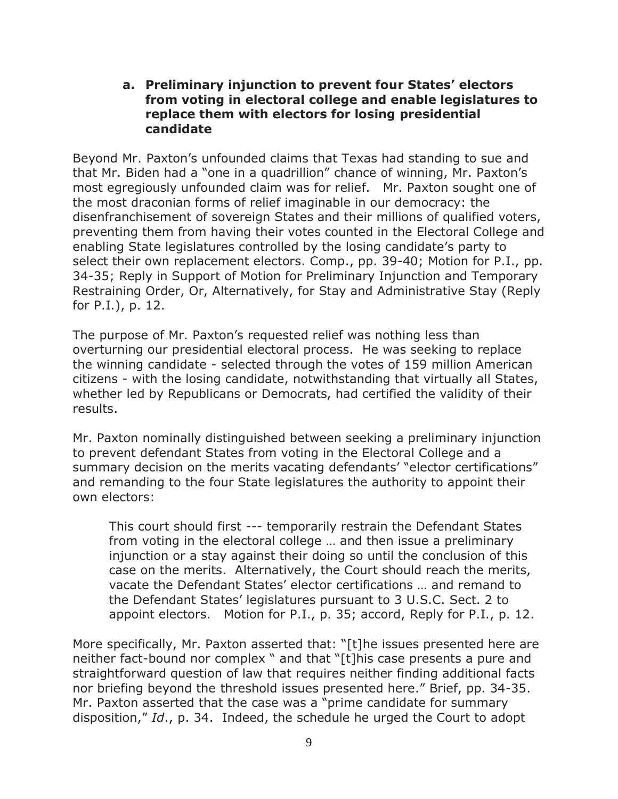#### **a. Preliminary injunction to prevent four States' electors from voting in electoral college and enable legislatures to replace them with electors for losing presidential candidate**

Beyond Mr. Paxton's unfounded claims that Texas had standing to sue and that Mr. Biden had a "one in a quadrillion" chance of winning, Mr. Paxton's most egregiously unfounded claim was for relief. Mr. Paxton sought one of the most draconian forms of relief imaginable in our democracy: the disenfranchisement of sovereign States and their millions of qualified voters, preventing them from having their votes counted in the Electoral College and enabling State legislatures controlled by the losing candidate's party to select their own replacement electors. Comp., pp. 39-40; Motion for P.I., pp. 34-35; Reply in Support of Motion for Preliminary Injunction and Temporary Restraining Order, Or, Alternatively, for Stay and Administrative Stay (Reply for P.I.), p. 12.

The purpose of Mr. Paxton's requested relief was nothing less than overturning our presidential electoral process. He was seeking to replace the winning candidate - selected through the votes of 159 million American citizens - with the losing candidate, notwithstanding that virtually all States, whether led by Republicans or Democrats, had certified the validity of their results.

Mr. Paxton nominally distinguished between seeking a preliminary injunction to prevent defendant States from voting in the Electoral College and a summary decision on the merits vacating defendants' "elector certifications" and remanding to the four State legislatures the authority to appoint their own electors:

This court should first --- temporarily restrain the Defendant States from voting in the electoral college … and then issue a preliminary injunction or a stay against their doing so until the conclusion of this case on the merits. Alternatively, the Court should reach the merits, vacate the Defendant States' elector certifications … and remand to the Defendant States' legislatures pursuant to 3 U.S.C. Sect. 2 to appoint electors. Motion for P.I., p. 35; accord, Reply for P.I., p. 12.

More specifically, Mr. Paxton asserted that: "[t]he issues presented here are neither fact-bound nor complex " and that "[t]his case presents a pure and straightforward question of law that requires neither finding additional facts nor briefing beyond the threshold issues presented here." Brief, pp. 34-35. Mr. Paxton asserted that the case was a "prime candidate for summary disposition," *Id*., p. 34. Indeed, the schedule he urged the Court to adopt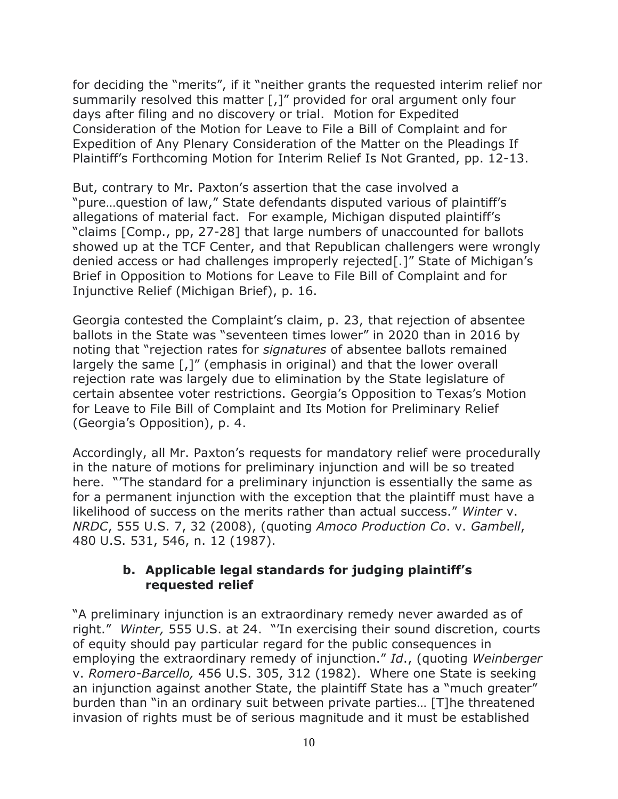for deciding the "merits", if it "neither grants the requested interim relief nor summarily resolved this matter [,]" provided for oral argument only four days after filing and no discovery or trial. Motion for Expedited Consideration of the Motion for Leave to File a Bill of Complaint and for Expedition of Any Plenary Consideration of the Matter on the Pleadings If Plaintiff's Forthcoming Motion for Interim Relief Is Not Granted, pp. 12-13.

But, contrary to Mr. Paxton's assertion that the case involved a "pure…question of law," State defendants disputed various of plaintiff's allegations of material fact. For example, Michigan disputed plaintiff's "claims [Comp., pp, 27-28] that large numbers of unaccounted for ballots showed up at the TCF Center, and that Republican challengers were wrongly denied access or had challenges improperly rejected[.]" State of Michigan's Brief in Opposition to Motions for Leave to File Bill of Complaint and for Injunctive Relief (Michigan Brief), p. 16.

Georgia contested the Complaint's claim, p. 23, that rejection of absentee ballots in the State was "seventeen times lower" in 2020 than in 2016 by noting that "rejection rates for *signatures* of absentee ballots remained largely the same [,]" (emphasis in original) and that the lower overall rejection rate was largely due to elimination by the State legislature of certain absentee voter restrictions. Georgia's Opposition to Texas's Motion for Leave to File Bill of Complaint and Its Motion for Preliminary Relief (Georgia's Opposition), p. 4.

Accordingly, all Mr. Paxton's requests for mandatory relief were procedurally in the nature of motions for preliminary injunction and will be so treated here. "'The standard for a preliminary injunction is essentially the same as for a permanent injunction with the exception that the plaintiff must have a likelihood of success on the merits rather than actual success." *Winter* v. *NRDC*, 555 U.S. 7, 32 (2008), (quoting *Amoco Production Co*. v. *Gambell*, 480 U.S. 531, 546, n. 12 (1987).

#### **b. Applicable legal standards for judging plaintiff's requested relief**

"A preliminary injunction is an extraordinary remedy never awarded as of right." *Winter,* 555 U.S. at 24. "'In exercising their sound discretion, courts of equity should pay particular regard for the public consequences in employing the extraordinary remedy of injunction." *Id*., (quoting *Weinberger* v. *Romero-Barcello,* 456 U.S. 305, 312 (1982). Where one State is seeking an injunction against another State, the plaintiff State has a "much greater" burden than "in an ordinary suit between private parties… [T]he threatened invasion of rights must be of serious magnitude and it must be established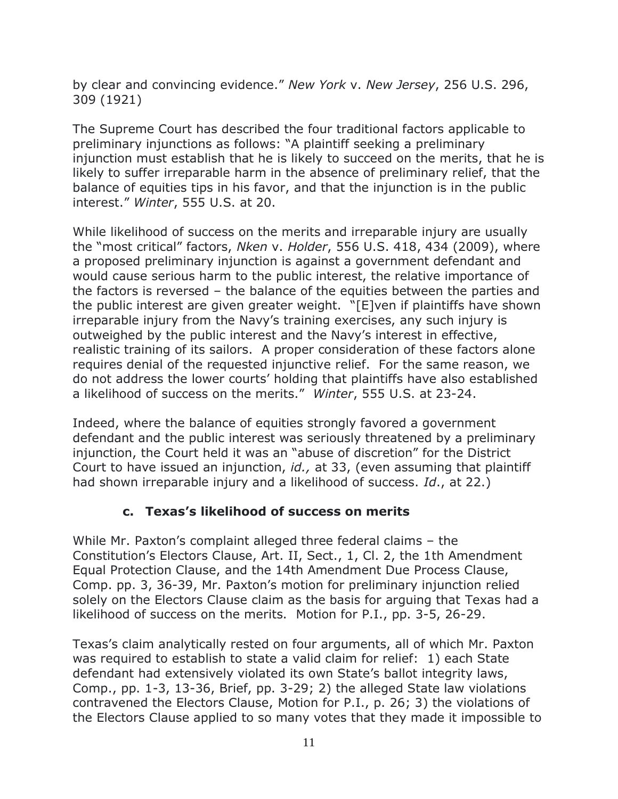by clear and convincing evidence." *New York* v. *New Jersey*, 256 U.S. 296, 309 (1921)

The Supreme Court has described the four traditional factors applicable to preliminary injunctions as follows: "A plaintiff seeking a preliminary injunction must establish that he is likely to succeed on the merits, that he is likely to suffer irreparable harm in the absence of preliminary relief, that the balance of equities tips in his favor, and that the injunction is in the public interest." *Winter*, 555 U.S. at 20.

While likelihood of success on the merits and irreparable injury are usually the "most critical" factors, *Nken* v. *Holder*, 556 U.S. 418, 434 (2009), where a proposed preliminary injunction is against a government defendant and would cause serious harm to the public interest, the relative importance of the factors is reversed – the balance of the equities between the parties and the public interest are given greater weight. "[E]ven if plaintiffs have shown irreparable injury from the Navy's training exercises, any such injury is outweighed by the public interest and the Navy's interest in effective, realistic training of its sailors. A proper consideration of these factors alone requires denial of the requested injunctive relief. For the same reason, we do not address the lower courts' holding that plaintiffs have also established a likelihood of success on the merits." *Winter*, 555 U.S. at 23-24.

Indeed, where the balance of equities strongly favored a government defendant and the public interest was seriously threatened by a preliminary injunction, the Court held it was an "abuse of discretion" for the District Court to have issued an injunction, *id.,* at 33, (even assuming that plaintiff had shown irreparable injury and a likelihood of success. *Id*., at 22.)

### **c. Texas's likelihood of success on merits**

While Mr. Paxton's complaint alleged three federal claims – the Constitution's Electors Clause, Art. II, Sect., 1, Cl. 2, the 1th Amendment Equal Protection Clause, and the 14th Amendment Due Process Clause, Comp. pp. 3, 36-39, Mr. Paxton's motion for preliminary injunction relied solely on the Electors Clause claim as the basis for arguing that Texas had a likelihood of success on the merits. Motion for P.I., pp. 3-5, 26-29.

Texas's claim analytically rested on four arguments, all of which Mr. Paxton was required to establish to state a valid claim for relief: 1) each State defendant had extensively violated its own State's ballot integrity laws, Comp., pp. 1-3, 13-36, Brief, pp. 3-29; 2) the alleged State law violations contravened the Electors Clause, Motion for P.I., p. 26; 3) the violations of the Electors Clause applied to so many votes that they made it impossible to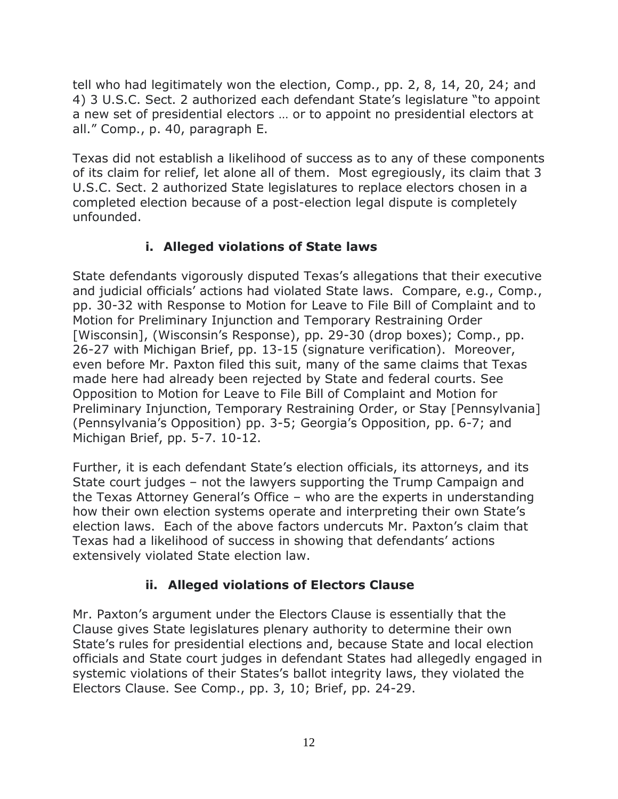tell who had legitimately won the election, Comp., pp. 2, 8, 14, 20, 24; and 4) 3 U.S.C. Sect. 2 authorized each defendant State's legislature "to appoint a new set of presidential electors … or to appoint no presidential electors at all." Comp., p. 40, paragraph E.

Texas did not establish a likelihood of success as to any of these components of its claim for relief, let alone all of them. Most egregiously, its claim that 3 U.S.C. Sect. 2 authorized State legislatures to replace electors chosen in a completed election because of a post-election legal dispute is completely unfounded.

## **i. Alleged violations of State laws**

State defendants vigorously disputed Texas's allegations that their executive and judicial officials' actions had violated State laws. Compare, e.g., Comp., pp. 30-32 with Response to Motion for Leave to File Bill of Complaint and to Motion for Preliminary Injunction and Temporary Restraining Order [Wisconsin], (Wisconsin's Response), pp. 29-30 (drop boxes); Comp., pp. 26-27 with Michigan Brief, pp. 13-15 (signature verification). Moreover, even before Mr. Paxton filed this suit, many of the same claims that Texas made here had already been rejected by State and federal courts. See Opposition to Motion for Leave to File Bill of Complaint and Motion for Preliminary Injunction, Temporary Restraining Order, or Stay [Pennsylvania] (Pennsylvania's Opposition) pp. 3-5; Georgia's Opposition, pp. 6-7; and Michigan Brief, pp. 5-7. 10-12.

Further, it is each defendant State's election officials, its attorneys, and its State court judges – not the lawyers supporting the Trump Campaign and the Texas Attorney General's Office – who are the experts in understanding how their own election systems operate and interpreting their own State's election laws. Each of the above factors undercuts Mr. Paxton's claim that Texas had a likelihood of success in showing that defendants' actions extensively violated State election law.

# **ii. Alleged violations of Electors Clause**

Mr. Paxton's argument under the Electors Clause is essentially that the Clause gives State legislatures plenary authority to determine their own State's rules for presidential elections and, because State and local election officials and State court judges in defendant States had allegedly engaged in systemic violations of their States's ballot integrity laws, they violated the Electors Clause. See Comp., pp. 3, 10; Brief, pp. 24-29.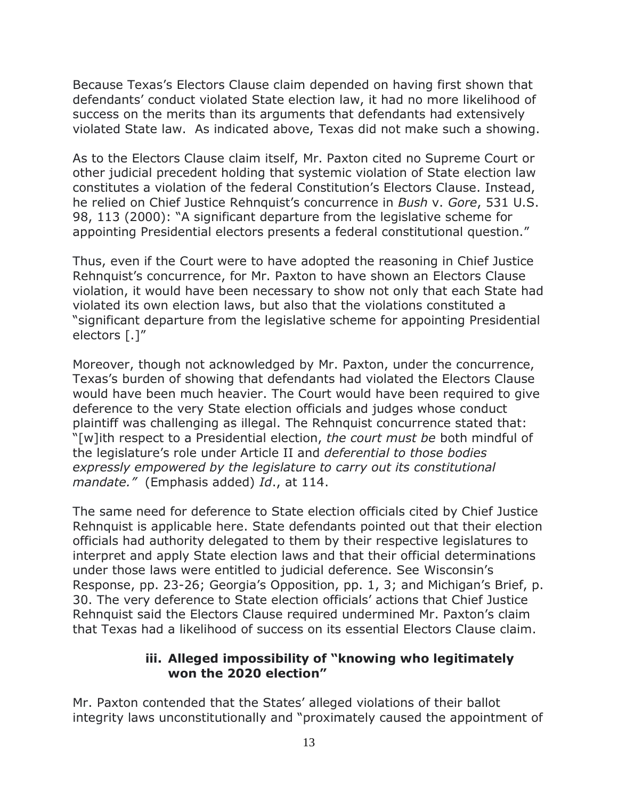Because Texas's Electors Clause claim depended on having first shown that defendants' conduct violated State election law, it had no more likelihood of success on the merits than its arguments that defendants had extensively violated State law. As indicated above, Texas did not make such a showing.

As to the Electors Clause claim itself, Mr. Paxton cited no Supreme Court or other judicial precedent holding that systemic violation of State election law constitutes a violation of the federal Constitution's Electors Clause. Instead, he relied on Chief Justice Rehnquist's concurrence in *Bush* v. *Gore*, 531 U.S. 98, 113 (2000): "A significant departure from the legislative scheme for appointing Presidential electors presents a federal constitutional question."

Thus, even if the Court were to have adopted the reasoning in Chief Justice Rehnquist's concurrence, for Mr. Paxton to have shown an Electors Clause violation, it would have been necessary to show not only that each State had violated its own election laws, but also that the violations constituted a "significant departure from the legislative scheme for appointing Presidential electors [.]"

Moreover, though not acknowledged by Mr. Paxton, under the concurrence, Texas's burden of showing that defendants had violated the Electors Clause would have been much heavier. The Court would have been required to give deference to the very State election officials and judges whose conduct plaintiff was challenging as illegal. The Rehnquist concurrence stated that: "[w]ith respect to a Presidential election, *the court must be* both mindful of the legislature's role under Article II and *deferential to those bodies expressly empowered by the legislature to carry out its constitutional mandate."* (Emphasis added) *Id*., at 114.

The same need for deference to State election officials cited by Chief Justice Rehnquist is applicable here. State defendants pointed out that their election officials had authority delegated to them by their respective legislatures to interpret and apply State election laws and that their official determinations under those laws were entitled to judicial deference. See Wisconsin's Response, pp. 23-26; Georgia's Opposition, pp. 1, 3; and Michigan's Brief, p. 30. The very deference to State election officials' actions that Chief Justice Rehnquist said the Electors Clause required undermined Mr. Paxton's claim that Texas had a likelihood of success on its essential Electors Clause claim.

#### **iii. Alleged impossibility of "knowing who legitimately won the 2020 election"**

Mr. Paxton contended that the States' alleged violations of their ballot integrity laws unconstitutionally and "proximately caused the appointment of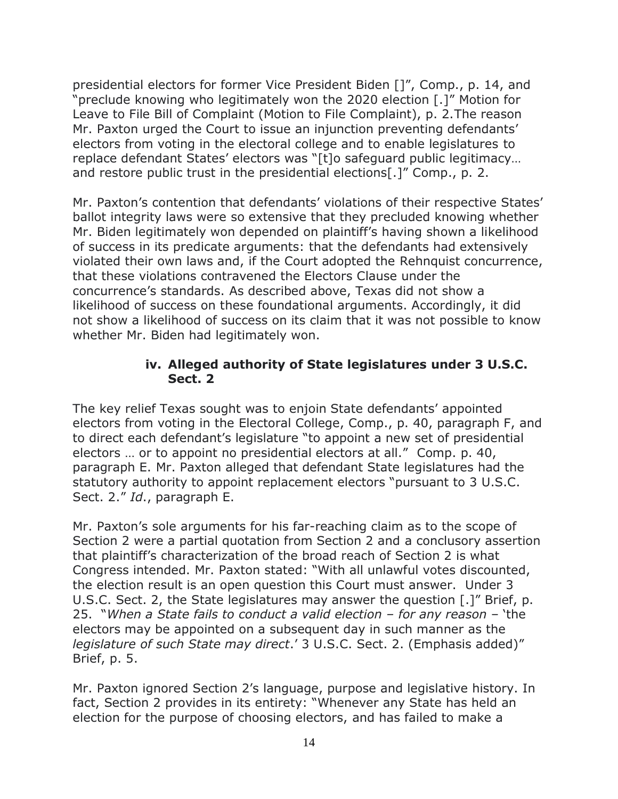presidential electors for former Vice President Biden []", Comp., p. 14, and "preclude knowing who legitimately won the 2020 election [.]" Motion for Leave to File Bill of Complaint (Motion to File Complaint), p. 2.The reason Mr. Paxton urged the Court to issue an injunction preventing defendants' electors from voting in the electoral college and to enable legislatures to replace defendant States' electors was "[t]o safeguard public legitimacy… and restore public trust in the presidential elections[.]" Comp., p. 2.

Mr. Paxton's contention that defendants' violations of their respective States' ballot integrity laws were so extensive that they precluded knowing whether Mr. Biden legitimately won depended on plaintiff's having shown a likelihood of success in its predicate arguments: that the defendants had extensively violated their own laws and, if the Court adopted the Rehnquist concurrence, that these violations contravened the Electors Clause under the concurrence's standards. As described above, Texas did not show a likelihood of success on these foundational arguments. Accordingly, it did not show a likelihood of success on its claim that it was not possible to know whether Mr. Biden had legitimately won.

#### **iv. Alleged authority of State legislatures under 3 U.S.C. Sect. 2**

The key relief Texas sought was to enjoin State defendants' appointed electors from voting in the Electoral College, Comp., p. 40, paragraph F, and to direct each defendant's legislature "to appoint a new set of presidential electors … or to appoint no presidential electors at all." Comp. p. 40, paragraph E. Mr. Paxton alleged that defendant State legislatures had the statutory authority to appoint replacement electors "pursuant to 3 U.S.C. Sect. 2." *Id*., paragraph E.

Mr. Paxton's sole arguments for his far-reaching claim as to the scope of Section 2 were a partial quotation from Section 2 and a conclusory assertion that plaintiff's characterization of the broad reach of Section 2 is what Congress intended. Mr. Paxton stated: "With all unlawful votes discounted, the election result is an open question this Court must answer. Under 3 U.S.C. Sect. 2, the State legislatures may answer the question [.]" Brief, p. 25. "*When a State fails to conduct a valid election – for any reason* – 'the electors may be appointed on a subsequent day in such manner as the *legislature of such State may direct*.' 3 U.S.C. Sect. 2. (Emphasis added)" Brief, p. 5.

Mr. Paxton ignored Section 2's language, purpose and legislative history. In fact, Section 2 provides in its entirety: "Whenever any State has held an election for the purpose of choosing electors, and has failed to make a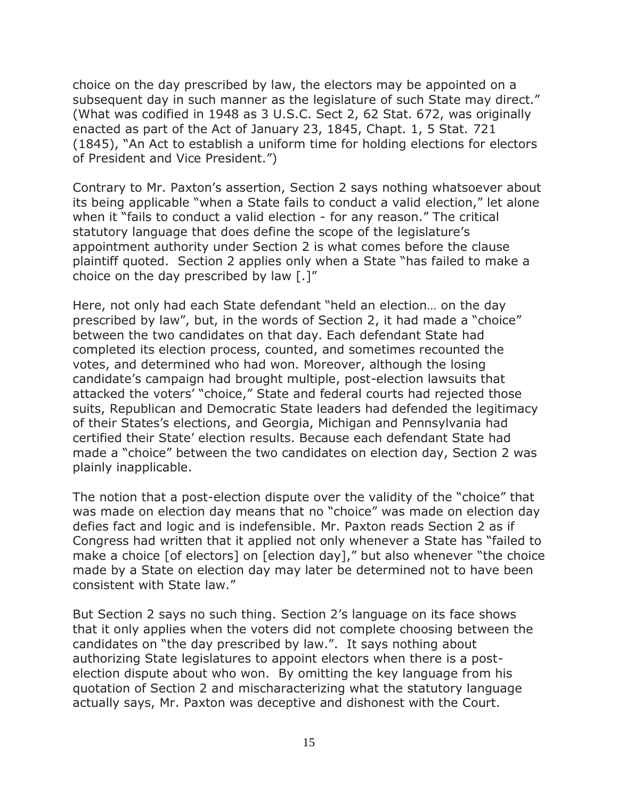choice on the day prescribed by law, the electors may be appointed on a subsequent day in such manner as the legislature of such State may direct." (What was codified in 1948 as 3 U.S.C. Sect 2, 62 Stat. 672, was originally enacted as part of the Act of January 23, 1845, Chapt. 1, 5 Stat. 721 (1845), "An Act to establish a uniform time for holding elections for electors of President and Vice President.")

Contrary to Mr. Paxton's assertion, Section 2 says nothing whatsoever about its being applicable "when a State fails to conduct a valid election," let alone when it "fails to conduct a valid election - for any reason." The critical statutory language that does define the scope of the legislature's appointment authority under Section 2 is what comes before the clause plaintiff quoted. Section 2 applies only when a State "has failed to make a choice on the day prescribed by law [.]"

Here, not only had each State defendant "held an election… on the day prescribed by law", but, in the words of Section 2, it had made a "choice" between the two candidates on that day. Each defendant State had completed its election process, counted, and sometimes recounted the votes, and determined who had won. Moreover, although the losing candidate's campaign had brought multiple, post-election lawsuits that attacked the voters' "choice," State and federal courts had rejected those suits, Republican and Democratic State leaders had defended the legitimacy of their States's elections, and Georgia, Michigan and Pennsylvania had certified their State' election results. Because each defendant State had made a "choice" between the two candidates on election day, Section 2 was plainly inapplicable.

The notion that a post-election dispute over the validity of the "choice" that was made on election day means that no "choice" was made on election day defies fact and logic and is indefensible. Mr. Paxton reads Section 2 as if Congress had written that it applied not only whenever a State has "failed to make a choice [of electors] on [election day]," but also whenever "the choice made by a State on election day may later be determined not to have been consistent with State law."

But Section 2 says no such thing. Section 2's language on its face shows that it only applies when the voters did not complete choosing between the candidates on "the day prescribed by law.". It says nothing about authorizing State legislatures to appoint electors when there is a postelection dispute about who won. By omitting the key language from his quotation of Section 2 and mischaracterizing what the statutory language actually says, Mr. Paxton was deceptive and dishonest with the Court.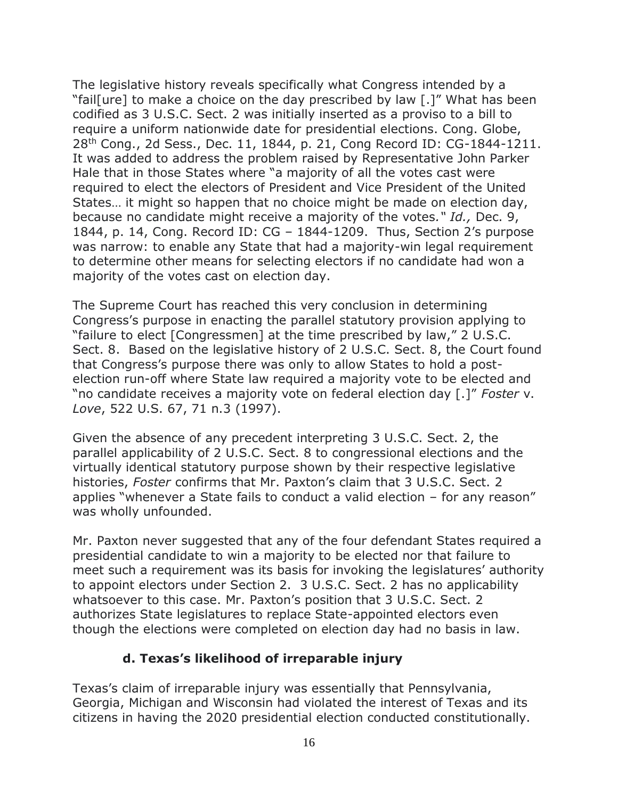The legislative history reveals specifically what Congress intended by a "fail[ure] to make a choice on the day prescribed by law [.]" What has been codified as 3 U.S.C. Sect. 2 was initially inserted as a proviso to a bill to require a uniform nationwide date for presidential elections. Cong. Globe, 28th Cong., 2d Sess., Dec. 11, 1844, p. 21, Cong Record ID: CG-1844-1211. It was added to address the problem raised by Representative John Parker Hale that in those States where "a majority of all the votes cast were required to elect the electors of President and Vice President of the United States… it might so happen that no choice might be made on election day, because no candidate might receive a majority of the votes*." Id.,* Dec. 9, 1844, p. 14, Cong. Record ID: CG – 1844-1209. Thus, Section 2's purpose was narrow: to enable any State that had a majority-win legal requirement to determine other means for selecting electors if no candidate had won a majority of the votes cast on election day.

The Supreme Court has reached this very conclusion in determining Congress's purpose in enacting the parallel statutory provision applying to "failure to elect [Congressmen] at the time prescribed by law," 2 U.S.C. Sect. 8. Based on the legislative history of 2 U.S.C. Sect. 8, the Court found that Congress's purpose there was only to allow States to hold a postelection run-off where State law required a majority vote to be elected and "no candidate receives a majority vote on federal election day [.]" *Foster* v. *Love*, 522 U.S. 67, 71 n.3 (1997).

Given the absence of any precedent interpreting 3 U.S.C. Sect. 2, the parallel applicability of 2 U.S.C. Sect. 8 to congressional elections and the virtually identical statutory purpose shown by their respective legislative histories, *Foster* confirms that Mr. Paxton's claim that 3 U.S.C. Sect. 2 applies "whenever a State fails to conduct a valid election – for any reason" was wholly unfounded.

Mr. Paxton never suggested that any of the four defendant States required a presidential candidate to win a majority to be elected nor that failure to meet such a requirement was its basis for invoking the legislatures' authority to appoint electors under Section 2. 3 U.S.C. Sect. 2 has no applicability whatsoever to this case. Mr. Paxton's position that 3 U.S.C. Sect. 2 authorizes State legislatures to replace State-appointed electors even though the elections were completed on election day had no basis in law.

### **d. Texas's likelihood of irreparable injury**

Texas's claim of irreparable injury was essentially that Pennsylvania, Georgia, Michigan and Wisconsin had violated the interest of Texas and its citizens in having the 2020 presidential election conducted constitutionally.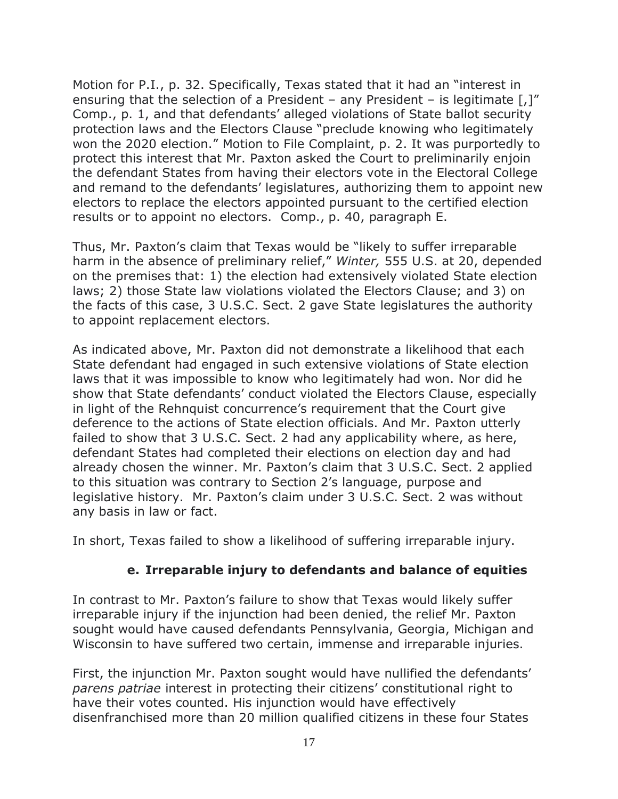Motion for P.I., p. 32. Specifically, Texas stated that it had an "interest in ensuring that the selection of a President – any President – is legitimate  $\lceil$ , $\rceil$ " Comp., p. 1, and that defendants' alleged violations of State ballot security protection laws and the Electors Clause "preclude knowing who legitimately won the 2020 election." Motion to File Complaint, p. 2. It was purportedly to protect this interest that Mr. Paxton asked the Court to preliminarily enjoin the defendant States from having their electors vote in the Electoral College and remand to the defendants' legislatures, authorizing them to appoint new electors to replace the electors appointed pursuant to the certified election results or to appoint no electors. Comp., p. 40, paragraph E.

Thus, Mr. Paxton's claim that Texas would be "likely to suffer irreparable harm in the absence of preliminary relief," *Winter,* 555 U.S. at 20, depended on the premises that: 1) the election had extensively violated State election laws; 2) those State law violations violated the Electors Clause; and 3) on the facts of this case, 3 U.S.C. Sect. 2 gave State legislatures the authority to appoint replacement electors.

As indicated above, Mr. Paxton did not demonstrate a likelihood that each State defendant had engaged in such extensive violations of State election laws that it was impossible to know who legitimately had won. Nor did he show that State defendants' conduct violated the Electors Clause, especially in light of the Rehnquist concurrence's requirement that the Court give deference to the actions of State election officials. And Mr. Paxton utterly failed to show that 3 U.S.C. Sect. 2 had any applicability where, as here, defendant States had completed their elections on election day and had already chosen the winner. Mr. Paxton's claim that 3 U.S.C. Sect. 2 applied to this situation was contrary to Section 2's language, purpose and legislative history. Mr. Paxton's claim under 3 U.S.C. Sect. 2 was without any basis in law or fact.

In short, Texas failed to show a likelihood of suffering irreparable injury.

### **e. Irreparable injury to defendants and balance of equities**

In contrast to Mr. Paxton's failure to show that Texas would likely suffer irreparable injury if the injunction had been denied, the relief Mr. Paxton sought would have caused defendants Pennsylvania, Georgia, Michigan and Wisconsin to have suffered two certain, immense and irreparable injuries.

First, the injunction Mr. Paxton sought would have nullified the defendants' *parens patriae* interest in protecting their citizens' constitutional right to have their votes counted. His injunction would have effectively disenfranchised more than 20 million qualified citizens in these four States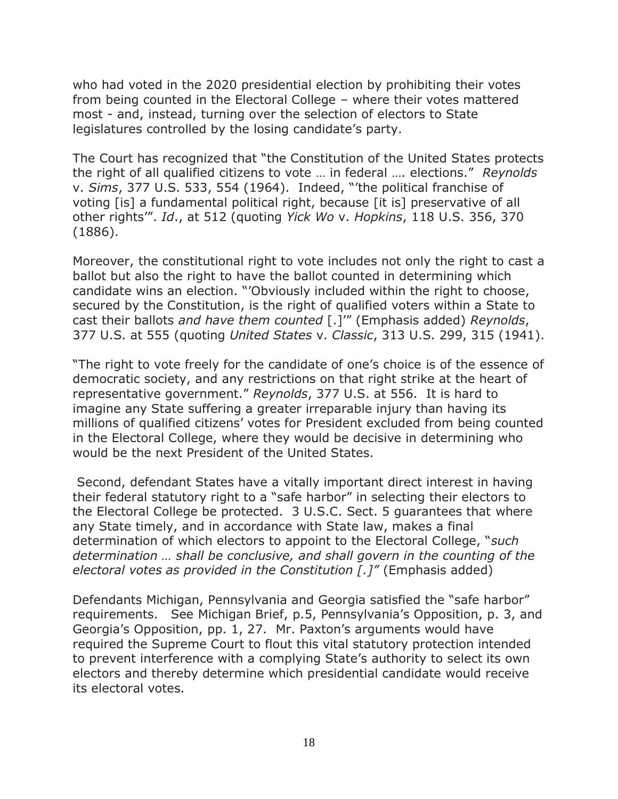who had voted in the 2020 presidential election by prohibiting their votes from being counted in the Electoral College – where their votes mattered most - and, instead, turning over the selection of electors to State legislatures controlled by the losing candidate's party.

The Court has recognized that "the Constitution of the United States protects the right of all qualified citizens to vote … in federal …. elections." *Reynolds* v. *Sims*, 377 U.S. 533, 554 (1964). Indeed, "'the political franchise of voting [is] a fundamental political right, because [it is] preservative of all other rights'". *Id*., at 512 (quoting *Yick Wo* v. *Hopkins*, 118 U.S. 356, 370 (1886).

Moreover, the constitutional right to vote includes not only the right to cast a ballot but also the right to have the ballot counted in determining which candidate wins an election. "'Obviously included within the right to choose, secured by the Constitution, is the right of qualified voters within a State to cast their ballots *and have them counted* [.]'" (Emphasis added) *Reynolds*, 377 U.S. at 555 (quoting *United States* v. *Classic*, 313 U.S. 299, 315 (1941).

"The right to vote freely for the candidate of one's choice is of the essence of democratic society, and any restrictions on that right strike at the heart of representative government." *Reynolds*, 377 U.S. at 556. It is hard to imagine any State suffering a greater irreparable injury than having its millions of qualified citizens' votes for President excluded from being counted in the Electoral College, where they would be decisive in determining who would be the next President of the United States.

Second, defendant States have a vitally important direct interest in having their federal statutory right to a "safe harbor" in selecting their electors to the Electoral College be protected. 3 U.S.C. Sect. 5 guarantees that where any State timely, and in accordance with State law, makes a final determination of which electors to appoint to the Electoral College, "*such determination … shall be conclusive, and shall govern in the counting of the electoral votes as provided in the Constitution [.]"* (Emphasis added)

Defendants Michigan, Pennsylvania and Georgia satisfied the "safe harbor" requirements. See Michigan Brief, p.5, Pennsylvania's Opposition, p. 3, and Georgia's Opposition, pp. 1, 27. Mr. Paxton's arguments would have required the Supreme Court to flout this vital statutory protection intended to prevent interference with a complying State's authority to select its own electors and thereby determine which presidential candidate would receive its electoral votes.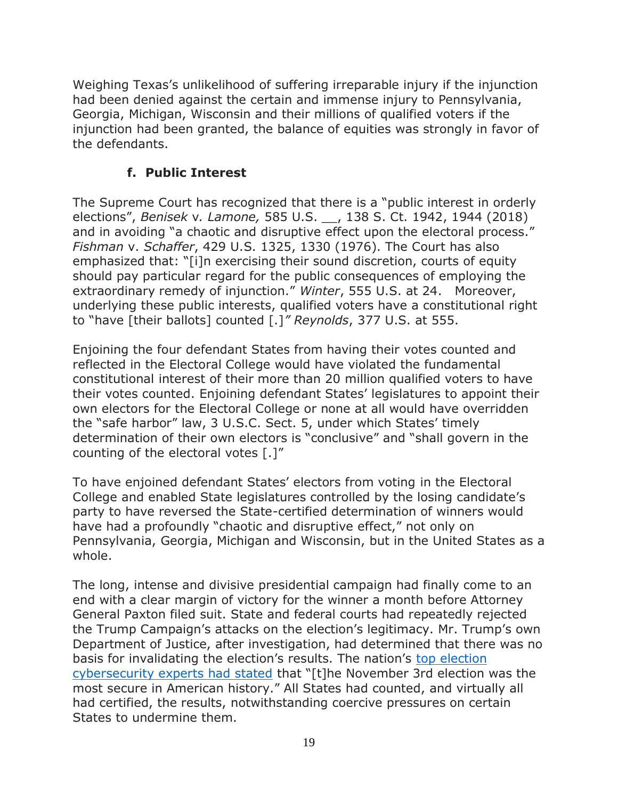Weighing Texas's unlikelihood of suffering irreparable injury if the injunction had been denied against the certain and immense injury to Pennsylvania, Georgia, Michigan, Wisconsin and their millions of qualified voters if the injunction had been granted, the balance of equities was strongly in favor of the defendants.

## **f. Public Interest**

The Supreme Court has recognized that there is a "public interest in orderly elections", *Benisek* v*. Lamone,* 585 U.S. \_\_, 138 S. Ct. 1942, 1944 (2018) and in avoiding "a chaotic and disruptive effect upon the electoral process." *Fishman* v. *Schaffer*, 429 U.S. 1325, 1330 (1976). The Court has also emphasized that: "[i]n exercising their sound discretion, courts of equity should pay particular regard for the public consequences of employing the extraordinary remedy of injunction." *Winter*, 555 U.S. at 24. Moreover, underlying these public interests, qualified voters have a constitutional right to "have [their ballots] counted [.]*" Reynolds*, 377 U.S. at 555.

Enjoining the four defendant States from having their votes counted and reflected in the Electoral College would have violated the fundamental constitutional interest of their more than 20 million qualified voters to have their votes counted. Enjoining defendant States' legislatures to appoint their own electors for the Electoral College or none at all would have overridden the "safe harbor" law, 3 U.S.C. Sect. 5, under which States' timely determination of their own electors is "conclusive" and "shall govern in the counting of the electoral votes [.]"

To have enjoined defendant States' electors from voting in the Electoral College and enabled State legislatures controlled by the losing candidate's party to have reversed the State-certified determination of winners would have had a profoundly "chaotic and disruptive effect," not only on Pennsylvania, Georgia, Michigan and Wisconsin, but in the United States as a whole.

The long, intense and divisive presidential campaign had finally come to an end with a clear margin of victory for the winner a month before Attorney General Paxton filed suit. State and federal courts had repeatedly rejected the Trump Campaign's attacks on the election's legitimacy. Mr. Trump's own Department of Justice, after investigation, had determined that there was no basis for invalidating the election's results. The nation's top election [cybersecurity experts had stated](https://www.theguardian.com/us-news/2020/nov/13/no-evidence-of-us-election-says-coalition-of-federal-and-state-officials) that "[t]he November 3rd election was the most secure in American history." All States had counted, and virtually all had certified, the results, notwithstanding coercive pressures on certain States to undermine them.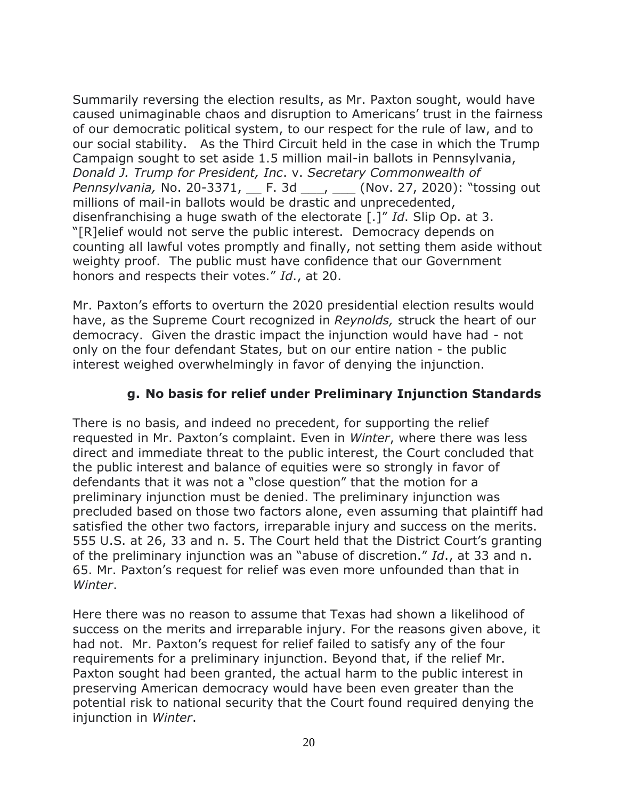Summarily reversing the election results, as Mr. Paxton sought, would have caused unimaginable chaos and disruption to Americans' trust in the fairness of our democratic political system, to our respect for the rule of law, and to our social stability. As the Third Circuit held in the case in which the Trump Campaign sought to set aside 1.5 million mail-in ballots in Pennsylvania, *Donald J. Trump for President, Inc*. v. *Secretary Commonwealth of Pennsylvania,* No. 20-3371, \_\_ F. 3d \_\_\_, \_\_\_ (Nov. 27, 2020): "tossing out millions of mail-in ballots would be drastic and unprecedented, disenfranchising a huge swath of the electorate [.]" *Id*. Slip Op. at 3. "[R]elief would not serve the public interest. Democracy depends on counting all lawful votes promptly and finally, not setting them aside without weighty proof. The public must have confidence that our Government honors and respects their votes." *Id*., at 20.

Mr. Paxton's efforts to overturn the 2020 presidential election results would have, as the Supreme Court recognized in *Reynolds,* struck the heart of our democracy. Given the drastic impact the injunction would have had - not only on the four defendant States, but on our entire nation - the public interest weighed overwhelmingly in favor of denying the injunction.

## **g. No basis for relief under Preliminary Injunction Standards**

There is no basis, and indeed no precedent, for supporting the relief requested in Mr. Paxton's complaint. Even in *Winter*, where there was less direct and immediate threat to the public interest, the Court concluded that the public interest and balance of equities were so strongly in favor of defendants that it was not a "close question" that the motion for a preliminary injunction must be denied. The preliminary injunction was precluded based on those two factors alone, even assuming that plaintiff had satisfied the other two factors, irreparable injury and success on the merits. 555 U.S. at 26, 33 and n. 5. The Court held that the District Court's granting of the preliminary injunction was an "abuse of discretion." *Id*., at 33 and n. 65. Mr. Paxton's request for relief was even more unfounded than that in *Winter*.

Here there was no reason to assume that Texas had shown a likelihood of success on the merits and irreparable injury. For the reasons given above, it had not. Mr. Paxton's request for relief failed to satisfy any of the four requirements for a preliminary injunction. Beyond that, if the relief Mr. Paxton sought had been granted, the actual harm to the public interest in preserving American democracy would have been even greater than the potential risk to national security that the Court found required denying the injunction in *Winter*.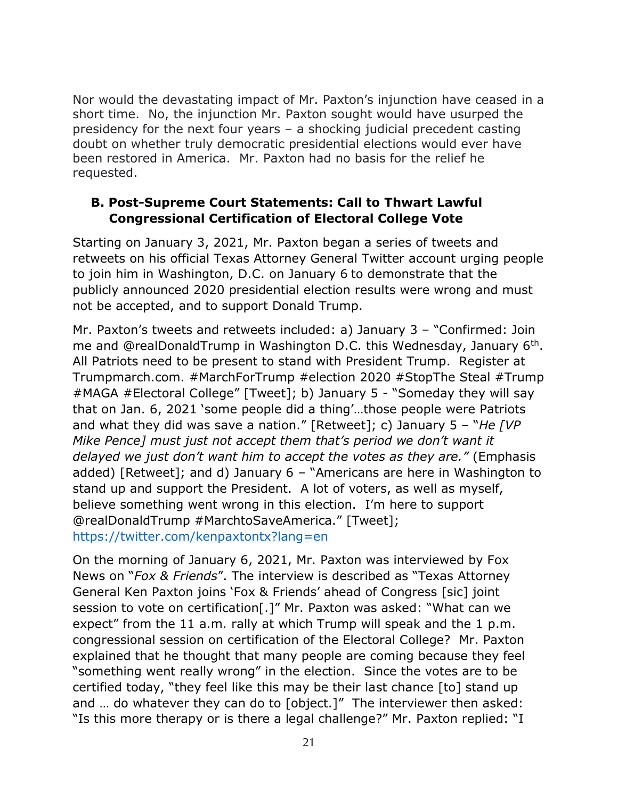Nor would the devastating impact of Mr. Paxton's injunction have ceased in a short time. No, the injunction Mr. Paxton sought would have usurped the presidency for the next four years – a shocking judicial precedent casting doubt on whether truly democratic presidential elections would ever have been restored in America. Mr. Paxton had no basis for the relief he requested.

## **B. Post-Supreme Court Statements: Call to Thwart Lawful Congressional Certification of Electoral College Vote**

Starting on January 3, 2021, Mr. Paxton began a series of tweets and retweets on his official Texas Attorney General Twitter account urging people to join him in Washington, D.C. on January 6 to demonstrate that the publicly announced 2020 presidential election results were wrong and must not be accepted, and to support Donald Trump.

Mr. Paxton's tweets and retweets included: a) January 3 – "Confirmed: Join me and @realDonaldTrump in Washington D.C. this Wednesday, January 6<sup>th</sup>. All Patriots need to be present to stand with President Trump. Register at Trumpmarch.com. #MarchForTrump #election 2020 #StopThe Steal #Trump #MAGA #Electoral College" [Tweet]; b) January 5 - "Someday they will say that on Jan. 6, 2021 'some people did a thing'…those people were Patriots and what they did was save a nation." [Retweet]; c) January 5 – "*He [VP Mike Pence] must just not accept them that's period we don't want it delayed we just don't want him to accept the votes as they are."* (Emphasis added) [Retweet]; and d) January 6 – "Americans are here in Washington to stand up and support the President. A lot of voters, as well as myself, believe something went wrong in this election. I'm here to support @realDonaldTrump #MarchtoSaveAmerica." [Tweet]; <https://twitter.com/kenpaxtontx?lang=en>

On the morning of January 6, 2021, Mr. Paxton was interviewed by Fox News on "*Fox & Friends*". The interview is described as "Texas Attorney General Ken Paxton joins 'Fox & Friends' ahead of Congress [sic] joint session to vote on certification[.]" Mr. Paxton was asked: "What can we expect" from the 11 a.m. rally at which Trump will speak and the 1 p.m. congressional session on certification of the Electoral College? Mr. Paxton explained that he thought that many people are coming because they feel "something went really wrong" in the election. Since the votes are to be certified today, "they feel like this may be their last chance [to] stand up and ... do whatever they can do to [object.]" The interviewer then asked: "Is this more therapy or is there a legal challenge?" Mr. Paxton replied: "I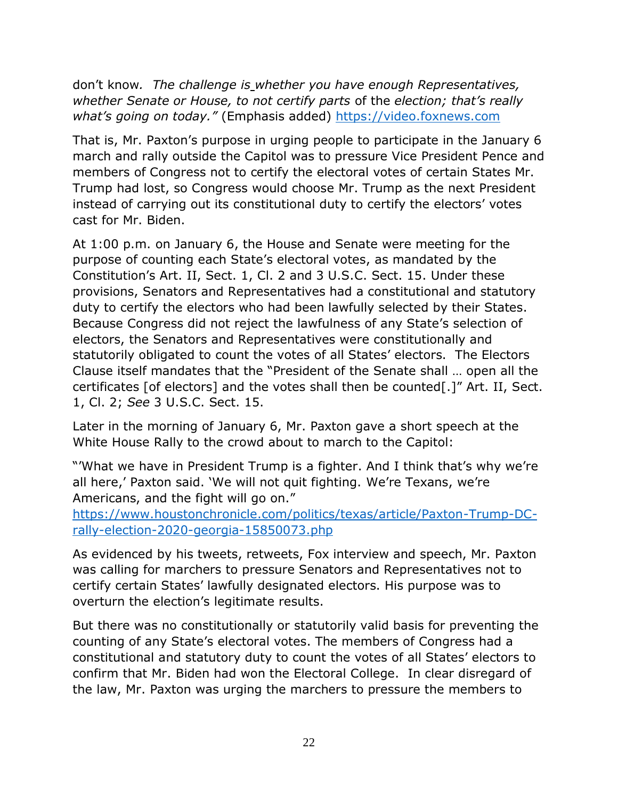don't know*. The challenge is whether you have enough Representatives, whether Senate or House, to not certify parts* of the *election; that's really what's going on today."* (Emphasis added) [https://video.foxnews.com](https://video.foxnews.com/)

That is, Mr. Paxton's purpose in urging people to participate in the January 6 march and rally outside the Capitol was to pressure Vice President Pence and members of Congress not to certify the electoral votes of certain States Mr. Trump had lost, so Congress would choose Mr. Trump as the next President instead of carrying out its constitutional duty to certify the electors' votes cast for Mr. Biden.

At 1:00 p.m. on January 6, the House and Senate were meeting for the purpose of counting each State's electoral votes, as mandated by the Constitution's Art. II, Sect. 1, Cl. 2 and 3 U.S.C. Sect. 15. Under these provisions, Senators and Representatives had a constitutional and statutory duty to certify the electors who had been lawfully selected by their States. Because Congress did not reject the lawfulness of any State's selection of electors, the Senators and Representatives were constitutionally and statutorily obligated to count the votes of all States' electors. The Electors Clause itself mandates that the "President of the Senate shall … open all the certificates [of electors] and the votes shall then be counted[.]" Art. II, Sect. 1, Cl. 2; *See* 3 U.S.C. Sect. 15.

Later in the morning of January 6, Mr. Paxton gave a short speech at the White House Rally to the crowd about to march to the Capitol:

"'What we have in President Trump is a fighter. And I think that's why we're all here,' Paxton said. 'We will not quit fighting. We're Texans, we're Americans, and the fight will go on."

[https://www.houstonchronicle.com/politics/texas/article/Paxton-Trump-DC](https://www.houstonchronicle.com/politics/texas/article/Paxton-Trump-DC-rally-election-2020-georgia-15850073.php)[rally-election-2020-georgia-15850073.php](https://www.houstonchronicle.com/politics/texas/article/Paxton-Trump-DC-rally-election-2020-georgia-15850073.php)

As evidenced by his tweets, retweets, Fox interview and speech, Mr. Paxton was calling for marchers to pressure Senators and Representatives not to certify certain States' lawfully designated electors. His purpose was to overturn the election's legitimate results.

But there was no constitutionally or statutorily valid basis for preventing the counting of any State's electoral votes. The members of Congress had a constitutional and statutory duty to count the votes of all States' electors to confirm that Mr. Biden had won the Electoral College. In clear disregard of the law, Mr. Paxton was urging the marchers to pressure the members to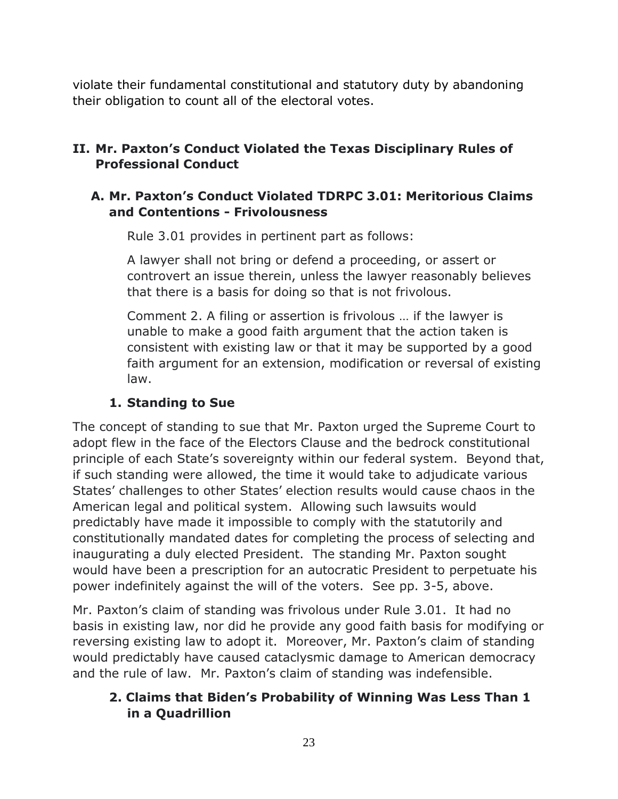violate their fundamental constitutional and statutory duty by abandoning their obligation to count all of the electoral votes.

# **II. Mr. Paxton's Conduct Violated the Texas Disciplinary Rules of Professional Conduct**

### **A. Mr. Paxton's Conduct Violated TDRPC 3.01: Meritorious Claims and Contentions - Frivolousness**

Rule 3.01 provides in pertinent part as follows:

A lawyer shall not bring or defend a proceeding, or assert or controvert an issue therein, unless the lawyer reasonably believes that there is a basis for doing so that is not frivolous.

Comment 2. A filing or assertion is frivolous … if the lawyer is unable to make a good faith argument that the action taken is consistent with existing law or that it may be supported by a good faith argument for an extension, modification or reversal of existing law.

## **1. Standing to Sue**

The concept of standing to sue that Mr. Paxton urged the Supreme Court to adopt flew in the face of the Electors Clause and the bedrock constitutional principle of each State's sovereignty within our federal system. Beyond that, if such standing were allowed, the time it would take to adjudicate various States' challenges to other States' election results would cause chaos in the American legal and political system. Allowing such lawsuits would predictably have made it impossible to comply with the statutorily and constitutionally mandated dates for completing the process of selecting and inaugurating a duly elected President. The standing Mr. Paxton sought would have been a prescription for an autocratic President to perpetuate his power indefinitely against the will of the voters. See pp. 3-5, above.

Mr. Paxton's claim of standing was frivolous under Rule 3.01. It had no basis in existing law, nor did he provide any good faith basis for modifying or reversing existing law to adopt it. Moreover, Mr. Paxton's claim of standing would predictably have caused cataclysmic damage to American democracy and the rule of law. Mr. Paxton's claim of standing was indefensible.

## **2. Claims that Biden's Probability of Winning Was Less Than 1 in a Quadrillion**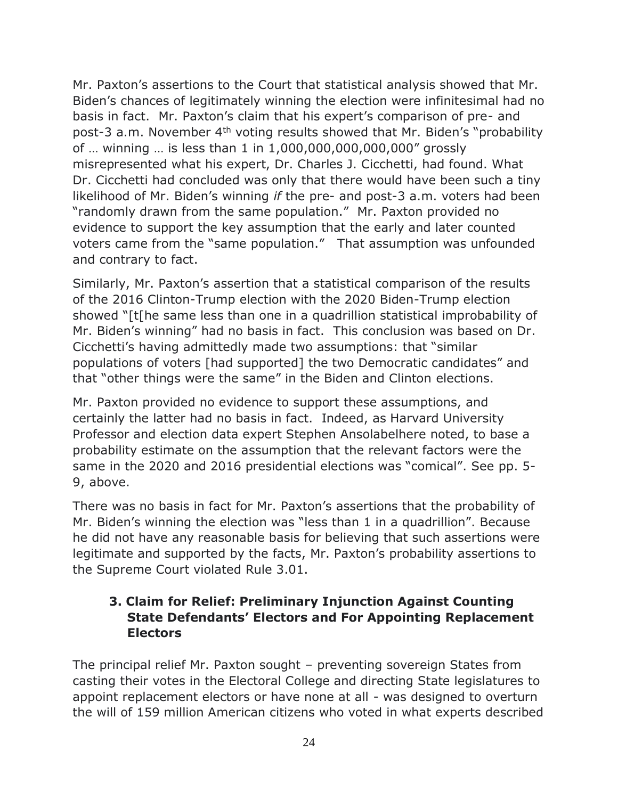Mr. Paxton's assertions to the Court that statistical analysis showed that Mr. Biden's chances of legitimately winning the election were infinitesimal had no basis in fact. Mr. Paxton's claim that his expert's comparison of pre- and post-3 a.m. November 4th voting results showed that Mr. Biden's "probability of … winning … is less than 1 in 1,000,000,000,000,000" grossly misrepresented what his expert, Dr. Charles J. Cicchetti, had found. What Dr. Cicchetti had concluded was only that there would have been such a tiny likelihood of Mr. Biden's winning *if* the pre- and post-3 a.m. voters had been "randomly drawn from the same population." Mr. Paxton provided no evidence to support the key assumption that the early and later counted voters came from the "same population." That assumption was unfounded and contrary to fact.

Similarly, Mr. Paxton's assertion that a statistical comparison of the results of the 2016 Clinton-Trump election with the 2020 Biden-Trump election showed "[t[he same less than one in a quadrillion statistical improbability of Mr. Biden's winning" had no basis in fact. This conclusion was based on Dr. Cicchetti's having admittedly made two assumptions: that "similar populations of voters [had supported] the two Democratic candidates" and that "other things were the same" in the Biden and Clinton elections.

Mr. Paxton provided no evidence to support these assumptions, and certainly the latter had no basis in fact. Indeed, as Harvard University Professor and election data expert Stephen Ansolabelhere noted, to base a probability estimate on the assumption that the relevant factors were the same in the 2020 and 2016 presidential elections was "comical". See pp. 5- 9, above.

There was no basis in fact for Mr. Paxton's assertions that the probability of Mr. Biden's winning the election was "less than 1 in a quadrillion". Because he did not have any reasonable basis for believing that such assertions were legitimate and supported by the facts, Mr. Paxton's probability assertions to the Supreme Court violated Rule 3.01.

## **3. Claim for Relief: Preliminary Injunction Against Counting State Defendants' Electors and For Appointing Replacement Electors**

The principal relief Mr. Paxton sought – preventing sovereign States from casting their votes in the Electoral College and directing State legislatures to appoint replacement electors or have none at all - was designed to overturn the will of 159 million American citizens who voted in what experts described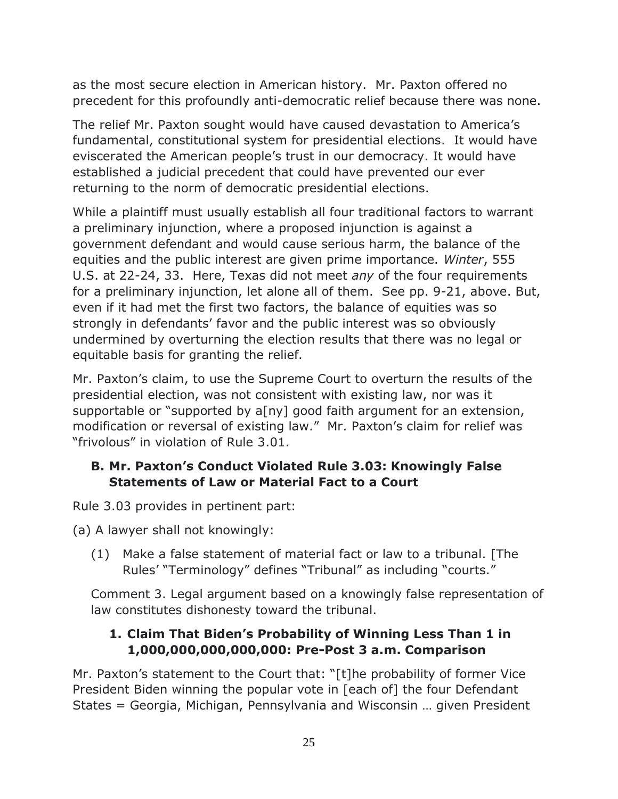as the most secure election in American history. Mr. Paxton offered no precedent for this profoundly anti-democratic relief because there was none.

The relief Mr. Paxton sought would have caused devastation to America's fundamental, constitutional system for presidential elections. It would have eviscerated the American people's trust in our democracy. It would have established a judicial precedent that could have prevented our ever returning to the norm of democratic presidential elections.

While a plaintiff must usually establish all four traditional factors to warrant a preliminary injunction, where a proposed injunction is against a government defendant and would cause serious harm, the balance of the equities and the public interest are given prime importance. *Winter*, 555 U.S. at 22-24, 33. Here, Texas did not meet *any* of the four requirements for a preliminary injunction, let alone all of them. See pp. 9-21, above. But, even if it had met the first two factors, the balance of equities was so strongly in defendants' favor and the public interest was so obviously undermined by overturning the election results that there was no legal or equitable basis for granting the relief.

Mr. Paxton's claim, to use the Supreme Court to overturn the results of the presidential election, was not consistent with existing law, nor was it supportable or "supported by a[ny] good faith argument for an extension, modification or reversal of existing law." Mr. Paxton's claim for relief was "frivolous" in violation of Rule 3.01.

## **B. Mr. Paxton's Conduct Violated Rule 3.03: Knowingly False Statements of Law or Material Fact to a Court**

Rule 3.03 provides in pertinent part:

(a) A lawyer shall not knowingly:

(1) Make a false statement of material fact or law to a tribunal. [The Rules' "Terminology" defines "Tribunal" as including "courts."

Comment 3. Legal argument based on a knowingly false representation of law constitutes dishonesty toward the tribunal.

## **1. Claim That Biden's Probability of Winning Less Than 1 in 1,000,000,000,000,000: Pre-Post 3 a.m. Comparison**

Mr. Paxton's statement to the Court that: "[t]he probability of former Vice President Biden winning the popular vote in [each of] the four Defendant States = Georgia, Michigan, Pennsylvania and Wisconsin … given President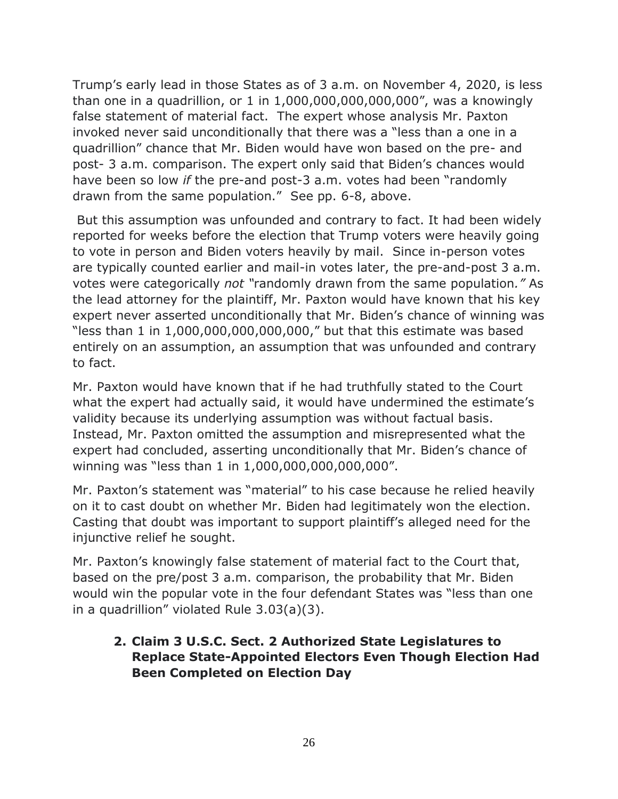Trump's early lead in those States as of 3 a.m. on November 4, 2020, is less than one in a quadrillion, or 1 in 1,000,000,000,000,000", was a knowingly false statement of material fact. The expert whose analysis Mr. Paxton invoked never said unconditionally that there was a "less than a one in a quadrillion" chance that Mr. Biden would have won based on the pre- and post- 3 a.m. comparison. The expert only said that Biden's chances would have been so low *if* the pre-and post-3 a.m. votes had been "randomly drawn from the same population." See pp. 6-8, above.

But this assumption was unfounded and contrary to fact. It had been widely reported for weeks before the election that Trump voters were heavily going to vote in person and Biden voters heavily by mail. Since in-person votes are typically counted earlier and mail-in votes later, the pre-and-post 3 a.m. votes were categorically *not "*randomly drawn from the same population*."* As the lead attorney for the plaintiff, Mr. Paxton would have known that his key expert never asserted unconditionally that Mr. Biden's chance of winning was "less than 1 in 1,000,000,000,000,000," but that this estimate was based entirely on an assumption, an assumption that was unfounded and contrary to fact.

Mr. Paxton would have known that if he had truthfully stated to the Court what the expert had actually said, it would have undermined the estimate's validity because its underlying assumption was without factual basis. Instead, Mr. Paxton omitted the assumption and misrepresented what the expert had concluded, asserting unconditionally that Mr. Biden's chance of winning was "less than 1 in 1,000,000,000,000,000".

Mr. Paxton's statement was "material" to his case because he relied heavily on it to cast doubt on whether Mr. Biden had legitimately won the election. Casting that doubt was important to support plaintiff's alleged need for the injunctive relief he sought.

Mr. Paxton's knowingly false statement of material fact to the Court that, based on the pre/post 3 a.m. comparison, the probability that Mr. Biden would win the popular vote in the four defendant States was "less than one in a quadrillion" violated Rule 3.03(a)(3).

### **2. Claim 3 U.S.C. Sect. 2 Authorized State Legislatures to Replace State-Appointed Electors Even Though Election Had Been Completed on Election Day**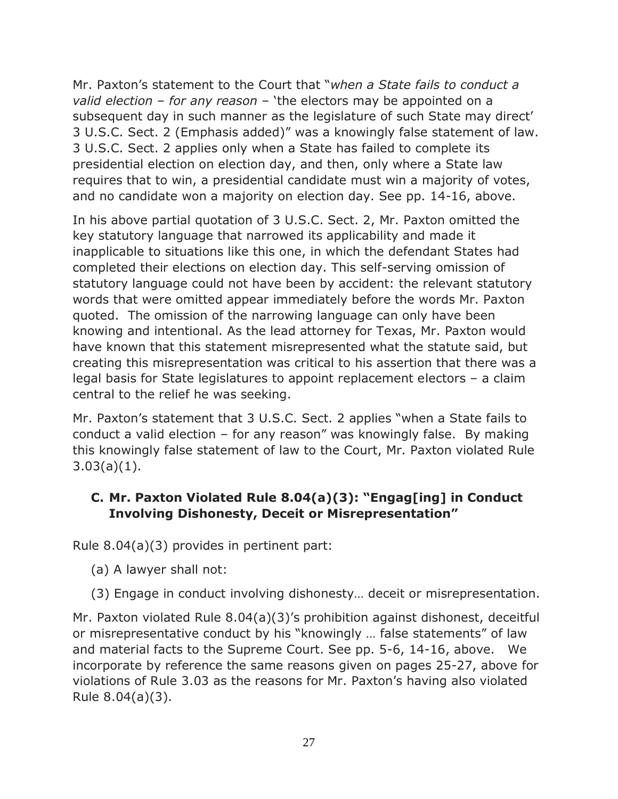Mr. Paxton's statement to the Court that "*when a State fails to conduct a valid election – for any reason* – 'the electors may be appointed on a subsequent day in such manner as the legislature of such State may direct' 3 U.S.C. Sect. 2 (Emphasis added)" was a knowingly false statement of law. 3 U.S.C. Sect. 2 applies only when a State has failed to complete its presidential election on election day, and then, only where a State law requires that to win, a presidential candidate must win a majority of votes, and no candidate won a majority on election day. See pp. 14-16, above.

In his above partial quotation of 3 U.S.C. Sect. 2, Mr. Paxton omitted the key statutory language that narrowed its applicability and made it inapplicable to situations like this one, in which the defendant States had completed their elections on election day. This self-serving omission of statutory language could not have been by accident: the relevant statutory words that were omitted appear immediately before the words Mr. Paxton quoted. The omission of the narrowing language can only have been knowing and intentional. As the lead attorney for Texas, Mr. Paxton would have known that this statement misrepresented what the statute said, but creating this misrepresentation was critical to his assertion that there was a legal basis for State legislatures to appoint replacement electors – a claim central to the relief he was seeking.

Mr. Paxton's statement that 3 U.S.C. Sect. 2 applies "when a State fails to conduct a valid election – for any reason" was knowingly false. By making this knowingly false statement of law to the Court, Mr. Paxton violated Rule 3.03(a)(1).

## **C. Mr. Paxton Violated Rule 8.04(a)(3): "Engag[ing] in Conduct Involving Dishonesty, Deceit or Misrepresentation"**

Rule 8.04(a)(3) provides in pertinent part:

- (a) A lawyer shall not:
- (3) Engage in conduct involving dishonesty… deceit or misrepresentation.

Mr. Paxton violated Rule 8.04(a)(3)'s prohibition against dishonest, deceitful or misrepresentative conduct by his "knowingly … false statements" of law and material facts to the Supreme Court. See pp. 5-6, 14-16, above. We incorporate by reference the same reasons given on pages 25-27, above for violations of Rule 3.03 as the reasons for Mr. Paxton's having also violated Rule 8.04(a)(3).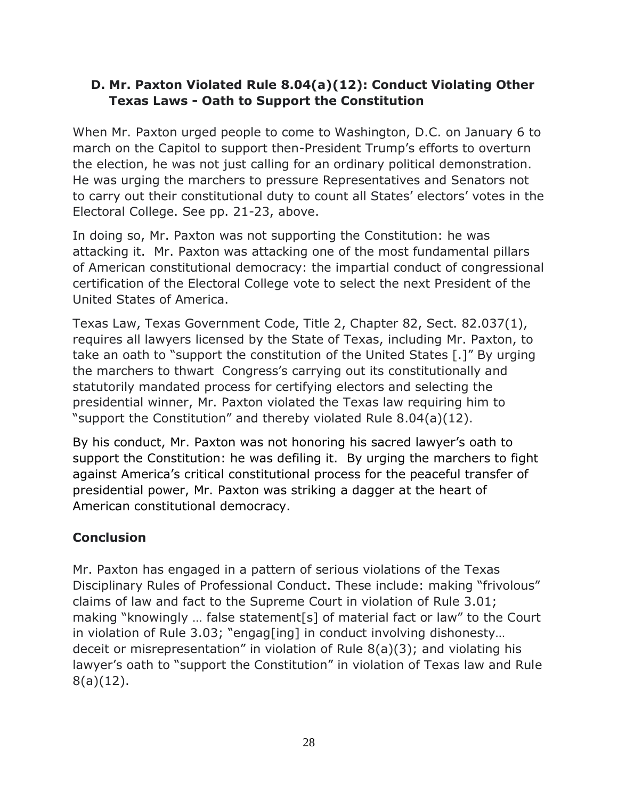## **D. Mr. Paxton Violated Rule 8.04(a)(12): Conduct Violating Other Texas Laws - Oath to Support the Constitution**

When Mr. Paxton urged people to come to Washington, D.C. on January 6 to march on the Capitol to support then-President Trump's efforts to overturn the election, he was not just calling for an ordinary political demonstration. He was urging the marchers to pressure Representatives and Senators not to carry out their constitutional duty to count all States' electors' votes in the Electoral College. See pp. 21-23, above.

In doing so, Mr. Paxton was not supporting the Constitution: he was attacking it. Mr. Paxton was attacking one of the most fundamental pillars of American constitutional democracy: the impartial conduct of congressional certification of the Electoral College vote to select the next President of the United States of America.

Texas Law, Texas Government Code, Title 2, Chapter 82, Sect. 82.037(1), requires all lawyers licensed by the State of Texas, including Mr. Paxton, to take an oath to "support the constitution of the United States [.]" By urging the marchers to thwart Congress's carrying out its constitutionally and statutorily mandated process for certifying electors and selecting the presidential winner, Mr. Paxton violated the Texas law requiring him to "support the Constitution" and thereby violated Rule 8.04(a)(12).

By his conduct, Mr. Paxton was not honoring his sacred lawyer's oath to support the Constitution: he was defiling it. By urging the marchers to fight against America's critical constitutional process for the peaceful transfer of presidential power, Mr. Paxton was striking a dagger at the heart of American constitutional democracy.

# **Conclusion**

Mr. Paxton has engaged in a pattern of serious violations of the Texas Disciplinary Rules of Professional Conduct. These include: making "frivolous" claims of law and fact to the Supreme Court in violation of Rule 3.01; making "knowingly … false statement[s] of material fact or law" to the Court in violation of Rule 3.03; "engag[ing] in conduct involving dishonesty… deceit or misrepresentation" in violation of Rule 8(a)(3); and violating his lawyer's oath to "support the Constitution" in violation of Texas law and Rule 8(a)(12).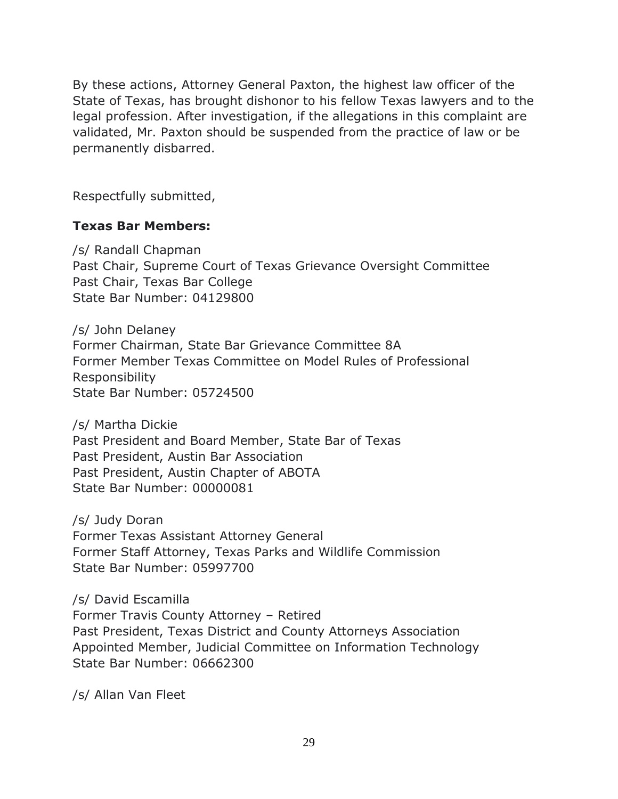By these actions, Attorney General Paxton, the highest law officer of the State of Texas, has brought dishonor to his fellow Texas lawyers and to the legal profession. After investigation, if the allegations in this complaint are validated, Mr. Paxton should be suspended from the practice of law or be permanently disbarred.

Respectfully submitted,

### **Texas Bar Members:**

/s/ Randall Chapman Past Chair, Supreme Court of Texas Grievance Oversight Committee Past Chair, Texas Bar College State Bar Number: 04129800

/s/ John Delaney Former Chairman, State Bar Grievance Committee 8A Former Member Texas Committee on Model Rules of Professional Responsibility State Bar Number: 05724500

/s/ Martha Dickie Past President and Board Member, State Bar of Texas Past President, Austin Bar Association Past President, Austin Chapter of ABOTA State Bar Number: 00000081

/s/ Judy Doran Former Texas Assistant Attorney General Former Staff Attorney, Texas Parks and Wildlife Commission State Bar Number: 05997700

/s/ David Escamilla Former Travis County Attorney – Retired Past President, Texas District and County Attorneys Association Appointed Member, Judicial Committee on Information Technology State Bar Number: 06662300

/s/ Allan Van Fleet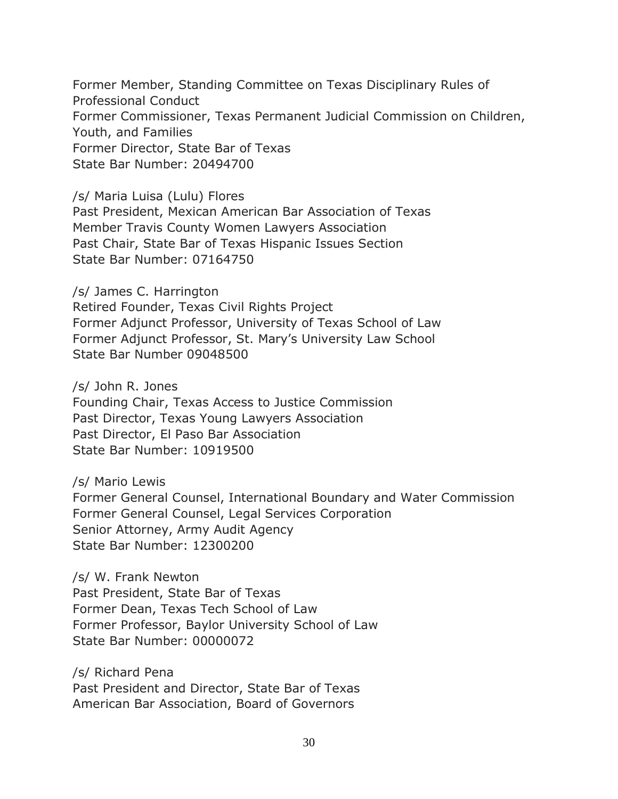Former Member, Standing Committee on Texas Disciplinary Rules of Professional Conduct Former Commissioner, Texas Permanent Judicial Commission on Children, Youth, and Families Former Director, State Bar of Texas State Bar Number: 20494700

/s/ Maria Luisa (Lulu) Flores Past President, Mexican American Bar Association of Texas Member Travis County Women Lawyers Association Past Chair, State Bar of Texas Hispanic Issues Section State Bar Number: 07164750

/s/ James C. Harrington Retired Founder, Texas Civil Rights Project Former Adjunct Professor, University of Texas School of Law Former Adjunct Professor, St. Mary's University Law School State Bar Number 09048500

/s/ John R. Jones Founding Chair, Texas Access to Justice Commission Past Director, Texas Young Lawyers Association Past Director, El Paso Bar Association State Bar Number: 10919500

/s/ Mario Lewis Former General Counsel, International Boundary and Water Commission Former General Counsel, Legal Services Corporation Senior Attorney, Army Audit Agency State Bar Number: 12300200

/s/ W. Frank Newton Past President, State Bar of Texas Former Dean, Texas Tech School of Law Former Professor, Baylor University School of Law State Bar Number: 00000072

/s/ Richard Pena Past President and Director, State Bar of Texas American Bar Association, Board of Governors